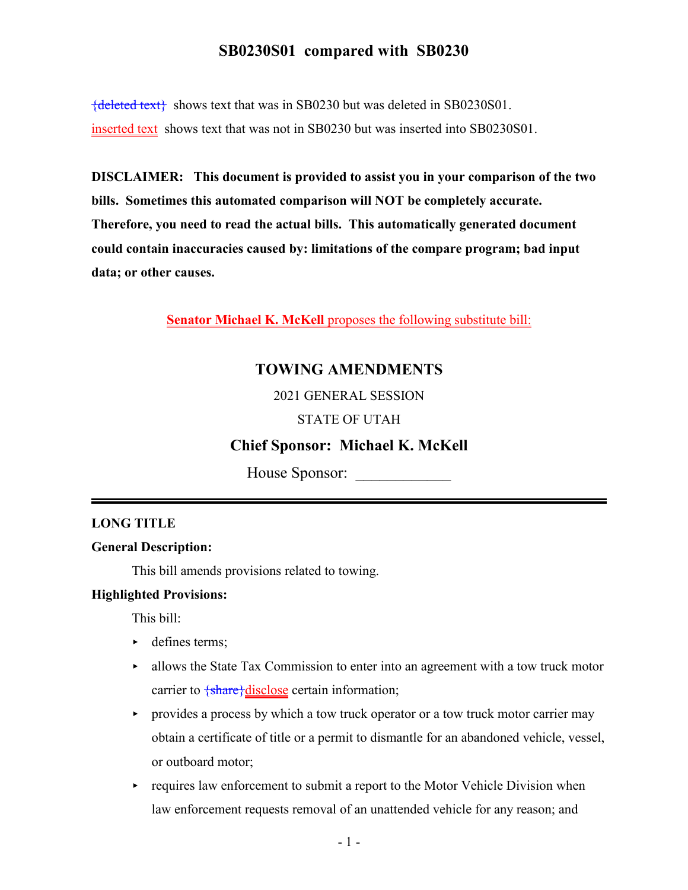${deleted text}$  shows text that was in SB0230 but was deleted in SB0230S01. inserted text shows text that was not in SB0230 but was inserted into SB0230S01.

**DISCLAIMER: This document is provided to assist you in your comparison of the two bills. Sometimes this automated comparison will NOT be completely accurate. Therefore, you need to read the actual bills. This automatically generated document could contain inaccuracies caused by: limitations of the compare program; bad input data; or other causes.**

**Senator Michael K. McKell** proposes the following substitute bill:

## **TOWING AMENDMENTS**

2021 GENERAL SESSION

#### STATE OF UTAH

## **Chief Sponsor: Michael K. McKell**

House Sponsor:

#### **LONG TITLE**

#### **General Description:**

This bill amends provisions related to towing.

#### **Highlighted Provisions:**

This bill:

- $\blacktriangleright$  defines terms;
- $\blacktriangleright$  allows the State Tax Commission to enter into an agreement with a tow truck motor carrier to  $\frac{\text{share}}{\text{disclose}}$  certain information;
- $\rightarrow$  provides a process by which a tow truck operator or a tow truck motor carrier may obtain a certificate of title or a permit to dismantle for an abandoned vehicle, vessel, or outboard motor;
- $\triangleright$  requires law enforcement to submit a report to the Motor Vehicle Division when law enforcement requests removal of an unattended vehicle for any reason; and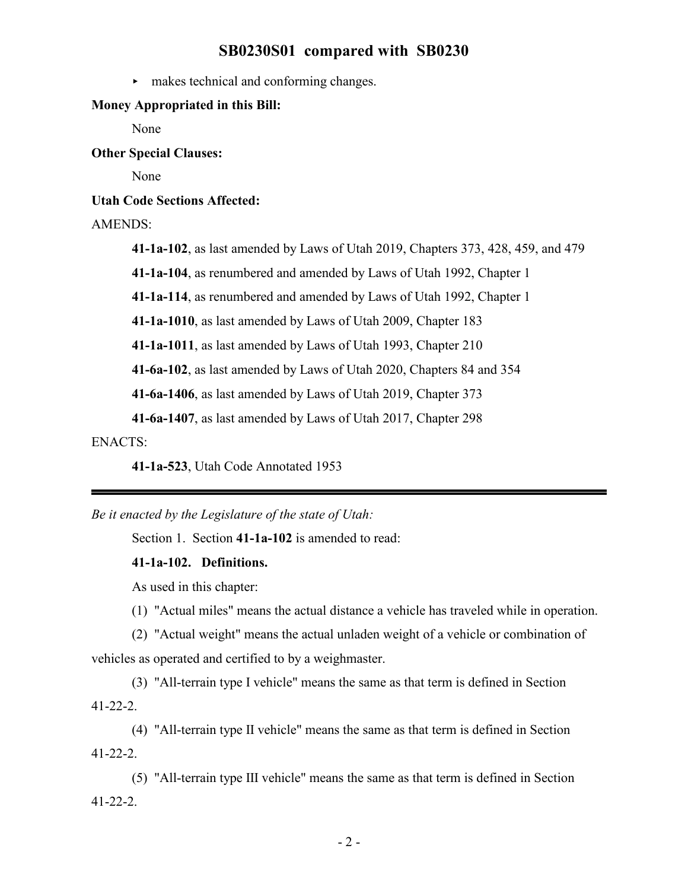$\blacktriangleright$  makes technical and conforming changes.

#### **Money Appropriated in this Bill:**

None

**Other Special Clauses:**

None

**Utah Code Sections Affected:**

#### AMENDS:

**41-1a-102**, as last amended by Laws of Utah 2019, Chapters 373, 428, 459, and 479

**41-1a-104**, as renumbered and amended by Laws of Utah 1992, Chapter 1

**41-1a-114**, as renumbered and amended by Laws of Utah 1992, Chapter 1

**41-1a-1010**, as last amended by Laws of Utah 2009, Chapter 183

**41-1a-1011**, as last amended by Laws of Utah 1993, Chapter 210

**41-6a-102**, as last amended by Laws of Utah 2020, Chapters 84 and 354

**41-6a-1406**, as last amended by Laws of Utah 2019, Chapter 373

**41-6a-1407**, as last amended by Laws of Utah 2017, Chapter 298

ENACTS:

**41-1a-523**, Utah Code Annotated 1953

*Be it enacted by the Legislature of the state of Utah:*

Section 1. Section **41-1a-102** is amended to read:

#### **41-1a-102. Definitions.**

As used in this chapter:

(1) "Actual miles" means the actual distance a vehicle has traveled while in operation.

(2) "Actual weight" means the actual unladen weight of a vehicle or combination of vehicles as operated and certified to by a weighmaster.

(3) "All-terrain type I vehicle" means the same as that term is defined in Section 41-22-2.

(4) "All-terrain type II vehicle" means the same as that term is defined in Section 41-22-2.

(5) "All-terrain type III vehicle" means the same as that term is defined in Section 41-22-2.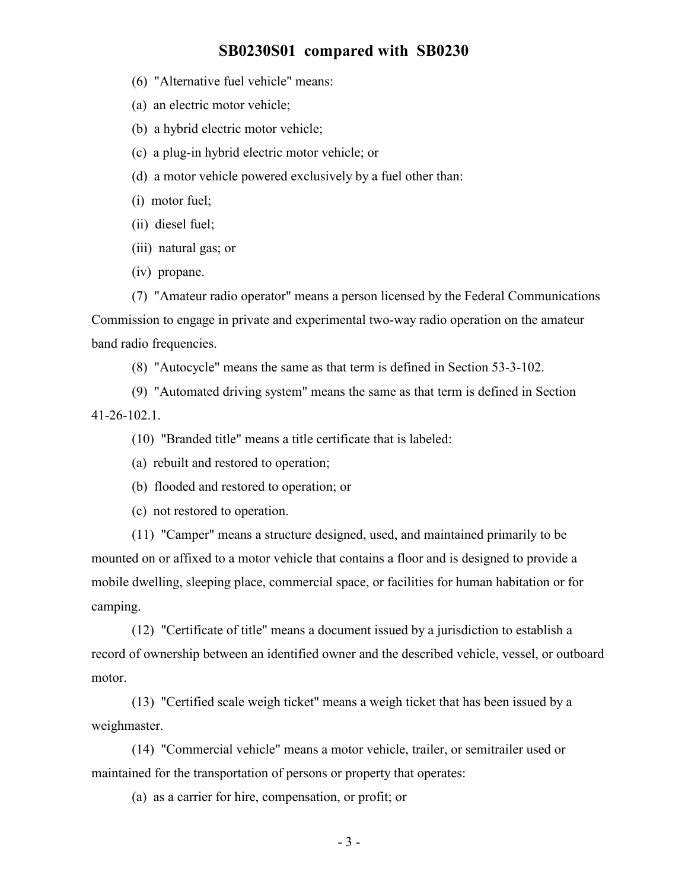- (6) "Alternative fuel vehicle" means:
- (a) an electric motor vehicle;
- (b) a hybrid electric motor vehicle;
- (c) a plug-in hybrid electric motor vehicle; or
- (d) a motor vehicle powered exclusively by a fuel other than:
- (i) motor fuel;
- (ii) diesel fuel;
- (iii) natural gas; or
- (iv) propane.

(7) "Amateur radio operator" means a person licensed by the Federal Communications Commission to engage in private and experimental two-way radio operation on the amateur band radio frequencies.

(8) "Autocycle" means the same as that term is defined in Section 53-3-102.

(9) "Automated driving system" means the same as that term is defined in Section 41-26-102.1.

(10) "Branded title" means a title certificate that is labeled:

- (a) rebuilt and restored to operation;
- (b) flooded and restored to operation; or

(c) not restored to operation.

(11) "Camper" means a structure designed, used, and maintained primarily to be mounted on or affixed to a motor vehicle that contains a floor and is designed to provide a mobile dwelling, sleeping place, commercial space, or facilities for human habitation or for camping.

(12) "Certificate of title" means a document issued by a jurisdiction to establish a record of ownership between an identified owner and the described vehicle, vessel, or outboard motor.

(13) "Certified scale weigh ticket" means a weigh ticket that has been issued by a weighmaster.

(14) "Commercial vehicle" means a motor vehicle, trailer, or semitrailer used or maintained for the transportation of persons or property that operates:

(a) as a carrier for hire, compensation, or profit; or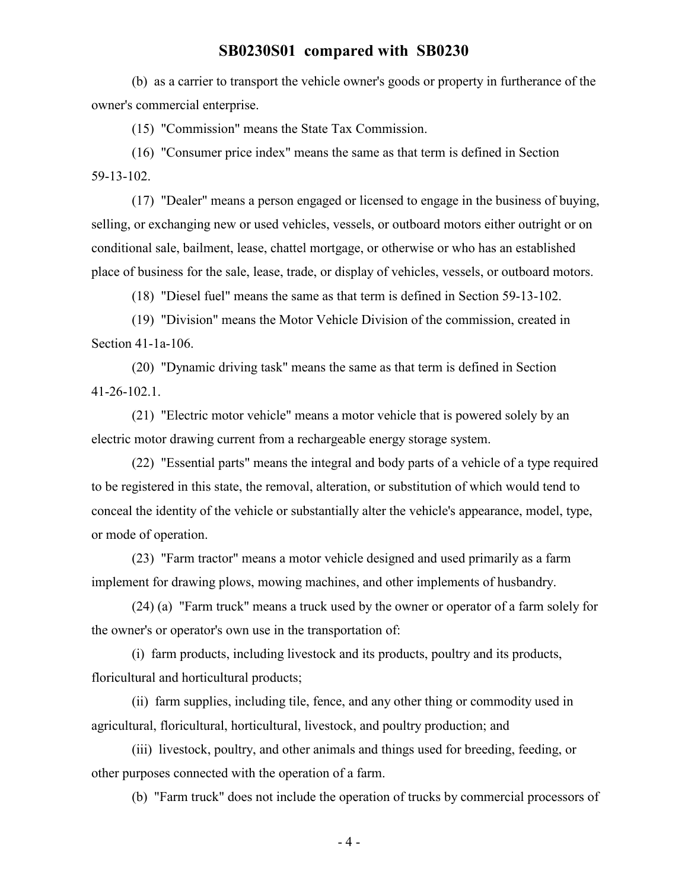(b) as a carrier to transport the vehicle owner's goods or property in furtherance of the owner's commercial enterprise.

(15) "Commission" means the State Tax Commission.

(16) "Consumer price index" means the same as that term is defined in Section 59-13-102.

(17) "Dealer" means a person engaged or licensed to engage in the business of buying, selling, or exchanging new or used vehicles, vessels, or outboard motors either outright or on conditional sale, bailment, lease, chattel mortgage, or otherwise or who has an established place of business for the sale, lease, trade, or display of vehicles, vessels, or outboard motors.

(18) "Diesel fuel" means the same as that term is defined in Section 59-13-102.

(19) "Division" means the Motor Vehicle Division of the commission, created in Section 41-1a-106.

(20) "Dynamic driving task" means the same as that term is defined in Section 41-26-102.1.

(21) "Electric motor vehicle" means a motor vehicle that is powered solely by an electric motor drawing current from a rechargeable energy storage system.

(22) "Essential parts" means the integral and body parts of a vehicle of a type required to be registered in this state, the removal, alteration, or substitution of which would tend to conceal the identity of the vehicle or substantially alter the vehicle's appearance, model, type, or mode of operation.

(23) "Farm tractor" means a motor vehicle designed and used primarily as a farm implement for drawing plows, mowing machines, and other implements of husbandry.

(24) (a) "Farm truck" means a truck used by the owner or operator of a farm solely for the owner's or operator's own use in the transportation of:

(i) farm products, including livestock and its products, poultry and its products, floricultural and horticultural products;

(ii) farm supplies, including tile, fence, and any other thing or commodity used in agricultural, floricultural, horticultural, livestock, and poultry production; and

(iii) livestock, poultry, and other animals and things used for breeding, feeding, or other purposes connected with the operation of a farm.

(b) "Farm truck" does not include the operation of trucks by commercial processors of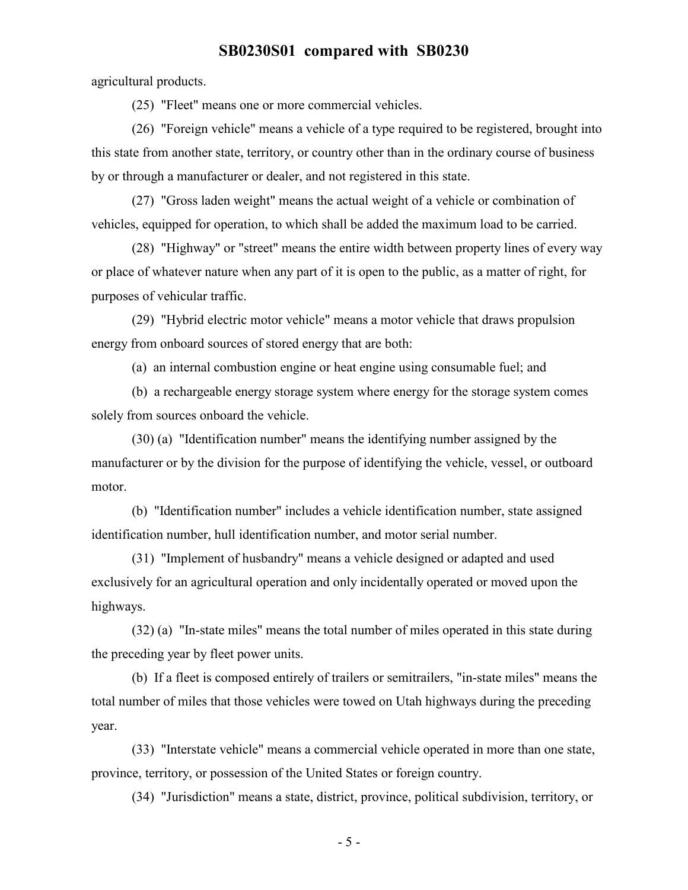agricultural products.

(25) "Fleet" means one or more commercial vehicles.

(26) "Foreign vehicle" means a vehicle of a type required to be registered, brought into this state from another state, territory, or country other than in the ordinary course of business by or through a manufacturer or dealer, and not registered in this state.

(27) "Gross laden weight" means the actual weight of a vehicle or combination of vehicles, equipped for operation, to which shall be added the maximum load to be carried.

(28) "Highway" or "street" means the entire width between property lines of every way or place of whatever nature when any part of it is open to the public, as a matter of right, for purposes of vehicular traffic.

(29) "Hybrid electric motor vehicle" means a motor vehicle that draws propulsion energy from onboard sources of stored energy that are both:

(a) an internal combustion engine or heat engine using consumable fuel; and

(b) a rechargeable energy storage system where energy for the storage system comes solely from sources onboard the vehicle.

(30) (a) "Identification number" means the identifying number assigned by the manufacturer or by the division for the purpose of identifying the vehicle, vessel, or outboard motor.

(b) "Identification number" includes a vehicle identification number, state assigned identification number, hull identification number, and motor serial number.

(31) "Implement of husbandry" means a vehicle designed or adapted and used exclusively for an agricultural operation and only incidentally operated or moved upon the highways.

(32) (a) "In-state miles" means the total number of miles operated in this state during the preceding year by fleet power units.

(b) If a fleet is composed entirely of trailers or semitrailers, "in-state miles" means the total number of miles that those vehicles were towed on Utah highways during the preceding year.

(33) "Interstate vehicle" means a commercial vehicle operated in more than one state, province, territory, or possession of the United States or foreign country.

(34) "Jurisdiction" means a state, district, province, political subdivision, territory, or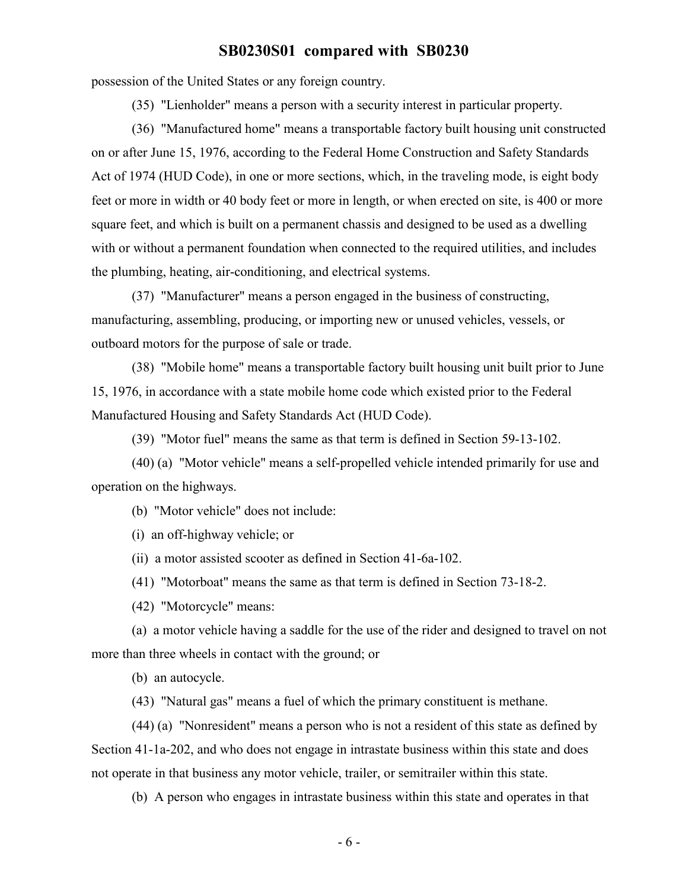possession of the United States or any foreign country.

(35) "Lienholder" means a person with a security interest in particular property.

(36) "Manufactured home" means a transportable factory built housing unit constructed on or after June 15, 1976, according to the Federal Home Construction and Safety Standards Act of 1974 (HUD Code), in one or more sections, which, in the traveling mode, is eight body feet or more in width or 40 body feet or more in length, or when erected on site, is 400 or more square feet, and which is built on a permanent chassis and designed to be used as a dwelling with or without a permanent foundation when connected to the required utilities, and includes the plumbing, heating, air-conditioning, and electrical systems.

(37) "Manufacturer" means a person engaged in the business of constructing, manufacturing, assembling, producing, or importing new or unused vehicles, vessels, or outboard motors for the purpose of sale or trade.

(38) "Mobile home" means a transportable factory built housing unit built prior to June 15, 1976, in accordance with a state mobile home code which existed prior to the Federal Manufactured Housing and Safety Standards Act (HUD Code).

(39) "Motor fuel" means the same as that term is defined in Section 59-13-102.

(40) (a) "Motor vehicle" means a self-propelled vehicle intended primarily for use and operation on the highways.

(b) "Motor vehicle" does not include:

(i) an off-highway vehicle; or

(ii) a motor assisted scooter as defined in Section 41-6a-102.

(41) "Motorboat" means the same as that term is defined in Section 73-18-2.

(42) "Motorcycle" means:

(a) a motor vehicle having a saddle for the use of the rider and designed to travel on not more than three wheels in contact with the ground; or

(b) an autocycle.

(43) "Natural gas" means a fuel of which the primary constituent is methane.

(44) (a) "Nonresident" means a person who is not a resident of this state as defined by Section 41-1a-202, and who does not engage in intrastate business within this state and does not operate in that business any motor vehicle, trailer, or semitrailer within this state.

(b) A person who engages in intrastate business within this state and operates in that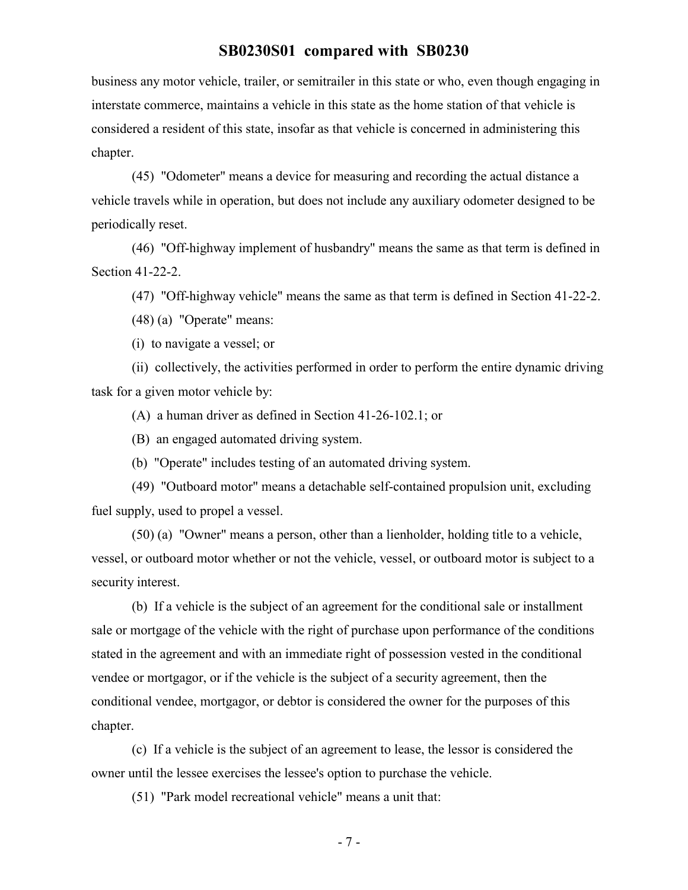business any motor vehicle, trailer, or semitrailer in this state or who, even though engaging in interstate commerce, maintains a vehicle in this state as the home station of that vehicle is considered a resident of this state, insofar as that vehicle is concerned in administering this chapter.

(45) "Odometer" means a device for measuring and recording the actual distance a vehicle travels while in operation, but does not include any auxiliary odometer designed to be periodically reset.

(46) "Off-highway implement of husbandry" means the same as that term is defined in Section 41-22-2.

(47) "Off-highway vehicle" means the same as that term is defined in Section 41-22-2.

(48) (a) "Operate" means:

(i) to navigate a vessel; or

(ii) collectively, the activities performed in order to perform the entire dynamic driving task for a given motor vehicle by:

(A) a human driver as defined in Section 41-26-102.1; or

(B) an engaged automated driving system.

(b) "Operate" includes testing of an automated driving system.

(49) "Outboard motor" means a detachable self-contained propulsion unit, excluding fuel supply, used to propel a vessel.

(50) (a) "Owner" means a person, other than a lienholder, holding title to a vehicle, vessel, or outboard motor whether or not the vehicle, vessel, or outboard motor is subject to a security interest.

(b) If a vehicle is the subject of an agreement for the conditional sale or installment sale or mortgage of the vehicle with the right of purchase upon performance of the conditions stated in the agreement and with an immediate right of possession vested in the conditional vendee or mortgagor, or if the vehicle is the subject of a security agreement, then the conditional vendee, mortgagor, or debtor is considered the owner for the purposes of this chapter.

(c) If a vehicle is the subject of an agreement to lease, the lessor is considered the owner until the lessee exercises the lessee's option to purchase the vehicle.

(51) "Park model recreational vehicle" means a unit that: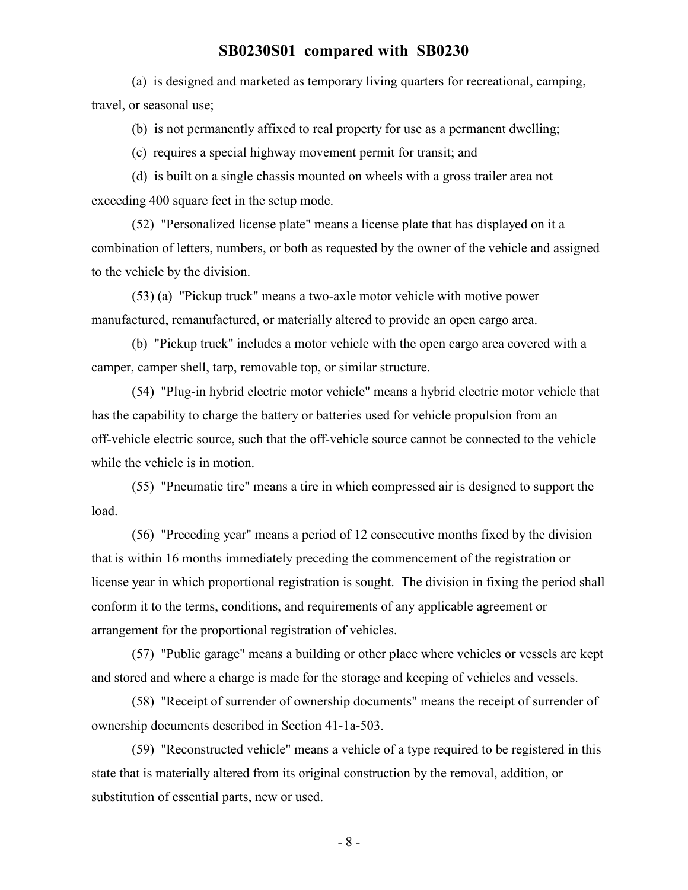(a) is designed and marketed as temporary living quarters for recreational, camping, travel, or seasonal use;

(b) is not permanently affixed to real property for use as a permanent dwelling;

(c) requires a special highway movement permit for transit; and

(d) is built on a single chassis mounted on wheels with a gross trailer area not exceeding 400 square feet in the setup mode.

(52) "Personalized license plate" means a license plate that has displayed on it a combination of letters, numbers, or both as requested by the owner of the vehicle and assigned to the vehicle by the division.

(53) (a) "Pickup truck" means a two-axle motor vehicle with motive power manufactured, remanufactured, or materially altered to provide an open cargo area.

(b) "Pickup truck" includes a motor vehicle with the open cargo area covered with a camper, camper shell, tarp, removable top, or similar structure.

(54) "Plug-in hybrid electric motor vehicle" means a hybrid electric motor vehicle that has the capability to charge the battery or batteries used for vehicle propulsion from an off-vehicle electric source, such that the off-vehicle source cannot be connected to the vehicle while the vehicle is in motion.

(55) "Pneumatic tire" means a tire in which compressed air is designed to support the load.

(56) "Preceding year" means a period of 12 consecutive months fixed by the division that is within 16 months immediately preceding the commencement of the registration or license year in which proportional registration is sought. The division in fixing the period shall conform it to the terms, conditions, and requirements of any applicable agreement or arrangement for the proportional registration of vehicles.

(57) "Public garage" means a building or other place where vehicles or vessels are kept and stored and where a charge is made for the storage and keeping of vehicles and vessels.

(58) "Receipt of surrender of ownership documents" means the receipt of surrender of ownership documents described in Section 41-1a-503.

(59) "Reconstructed vehicle" means a vehicle of a type required to be registered in this state that is materially altered from its original construction by the removal, addition, or substitution of essential parts, new or used.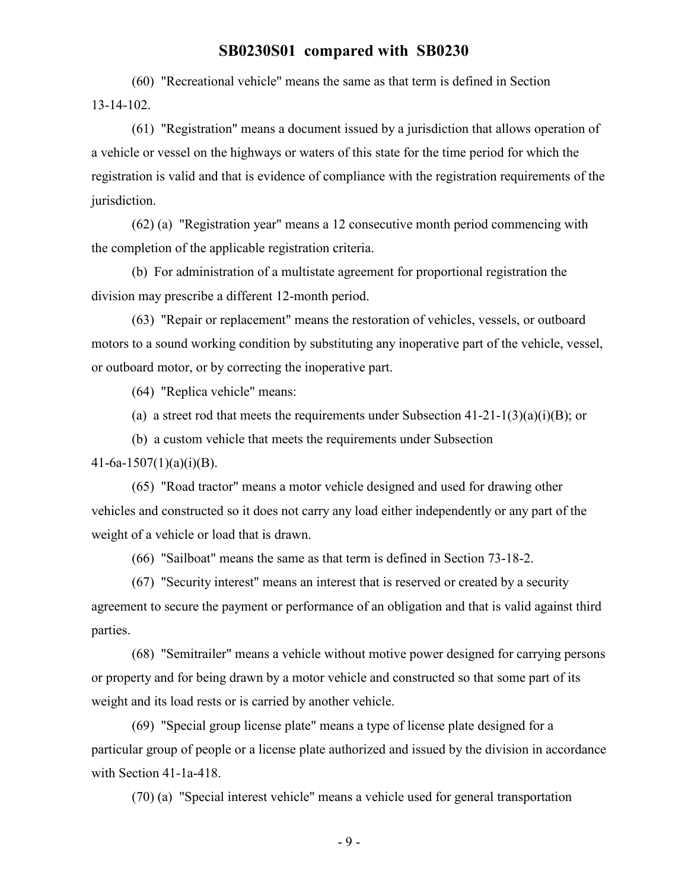(60) "Recreational vehicle" means the same as that term is defined in Section 13-14-102.

(61) "Registration" means a document issued by a jurisdiction that allows operation of a vehicle or vessel on the highways or waters of this state for the time period for which the registration is valid and that is evidence of compliance with the registration requirements of the jurisdiction.

(62) (a) "Registration year" means a 12 consecutive month period commencing with the completion of the applicable registration criteria.

(b) For administration of a multistate agreement for proportional registration the division may prescribe a different 12-month period.

(63) "Repair or replacement" means the restoration of vehicles, vessels, or outboard motors to a sound working condition by substituting any inoperative part of the vehicle, vessel, or outboard motor, or by correcting the inoperative part.

(64) "Replica vehicle" means:

(a) a street rod that meets the requirements under Subsection  $41-21-1(3)(a)(i)(B)$ ; or

(b) a custom vehicle that meets the requirements under Subsection

 $41-6a-1507(1)(a)(i)(B)$ .

(65) "Road tractor" means a motor vehicle designed and used for drawing other vehicles and constructed so it does not carry any load either independently or any part of the weight of a vehicle or load that is drawn.

(66) "Sailboat" means the same as that term is defined in Section 73-18-2.

(67) "Security interest" means an interest that is reserved or created by a security agreement to secure the payment or performance of an obligation and that is valid against third parties.

(68) "Semitrailer" means a vehicle without motive power designed for carrying persons or property and for being drawn by a motor vehicle and constructed so that some part of its weight and its load rests or is carried by another vehicle.

(69) "Special group license plate" means a type of license plate designed for a particular group of people or a license plate authorized and issued by the division in accordance with Section 41-1a-418.

(70) (a) "Special interest vehicle" means a vehicle used for general transportation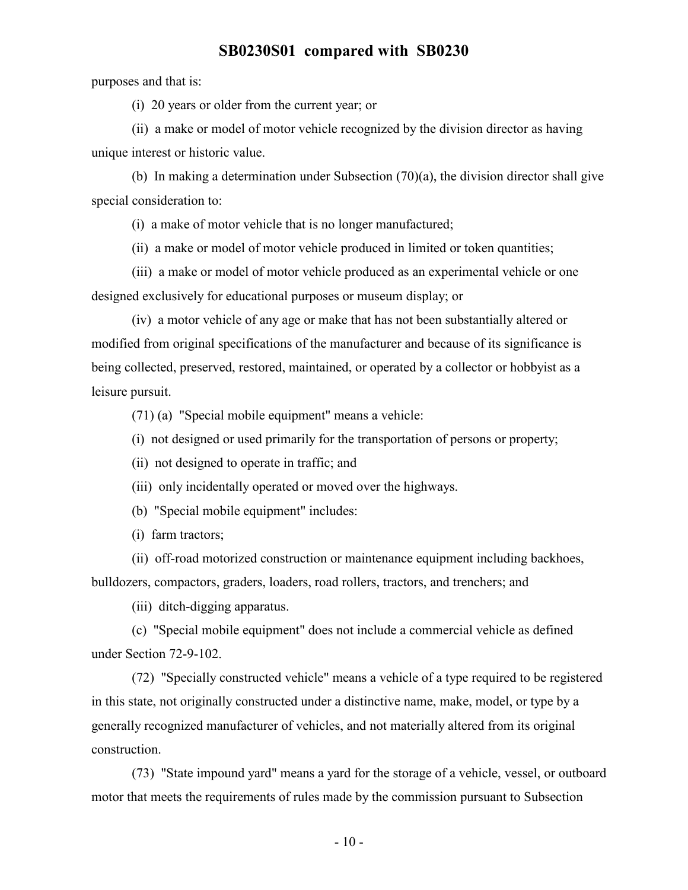purposes and that is:

(i) 20 years or older from the current year; or

(ii) a make or model of motor vehicle recognized by the division director as having unique interest or historic value.

(b) In making a determination under Subsection  $(70)(a)$ , the division director shall give special consideration to:

(i) a make of motor vehicle that is no longer manufactured;

(ii) a make or model of motor vehicle produced in limited or token quantities;

(iii) a make or model of motor vehicle produced as an experimental vehicle or one designed exclusively for educational purposes or museum display; or

(iv) a motor vehicle of any age or make that has not been substantially altered or modified from original specifications of the manufacturer and because of its significance is being collected, preserved, restored, maintained, or operated by a collector or hobbyist as a leisure pursuit.

(71) (a) "Special mobile equipment" means a vehicle:

- (i) not designed or used primarily for the transportation of persons or property;
- (ii) not designed to operate in traffic; and
- (iii) only incidentally operated or moved over the highways.
- (b) "Special mobile equipment" includes:

(i) farm tractors;

(ii) off-road motorized construction or maintenance equipment including backhoes, bulldozers, compactors, graders, loaders, road rollers, tractors, and trenchers; and

(iii) ditch-digging apparatus.

(c) "Special mobile equipment" does not include a commercial vehicle as defined under Section 72-9-102.

(72) "Specially constructed vehicle" means a vehicle of a type required to be registered in this state, not originally constructed under a distinctive name, make, model, or type by a generally recognized manufacturer of vehicles, and not materially altered from its original construction.

(73) "State impound yard" means a yard for the storage of a vehicle, vessel, or outboard motor that meets the requirements of rules made by the commission pursuant to Subsection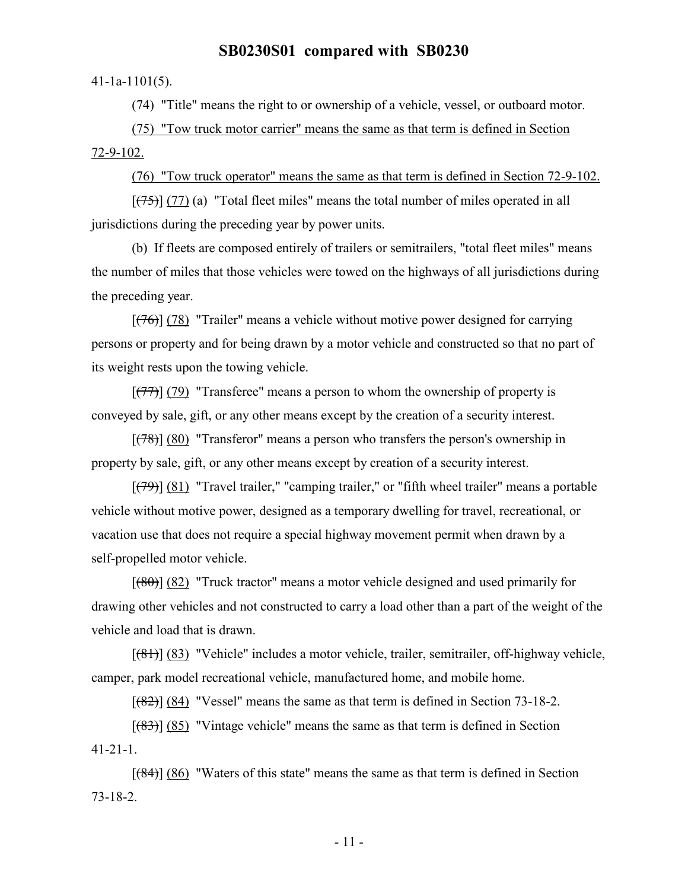#### 41-1a-1101(5).

(74) "Title" means the right to or ownership of a vehicle, vessel, or outboard motor.

(75) "Tow truck motor carrier" means the same as that term is defined in Section 72-9-102.

(76) "Tow truck operator" means the same as that term is defined in Section 72-9-102.

 $[(75)]$  (77) (a) "Total fleet miles" means the total number of miles operated in all jurisdictions during the preceding year by power units.

(b) If fleets are composed entirely of trailers or semitrailers, "total fleet miles" means the number of miles that those vehicles were towed on the highways of all jurisdictions during the preceding year.

 $[({76})]$  (78) "Trailer" means a vehicle without motive power designed for carrying persons or property and for being drawn by a motor vehicle and constructed so that no part of its weight rests upon the towing vehicle.

 $[$ (77)] (79) "Transferee" means a person to whom the ownership of property is conveyed by sale, gift, or any other means except by the creation of a security interest.

 $[(78)]$   $(80)$  "Transferor" means a person who transfers the person's ownership in property by sale, gift, or any other means except by creation of a security interest.

 $[$ (79)] (81) "Travel trailer," "camping trailer," or "fifth wheel trailer" means a portable vehicle without motive power, designed as a temporary dwelling for travel, recreational, or vacation use that does not require a special highway movement permit when drawn by a self-propelled motor vehicle.

 $[$ (80)] (82) "Truck tractor" means a motor vehicle designed and used primarily for drawing other vehicles and not constructed to carry a load other than a part of the weight of the vehicle and load that is drawn.

[(81)] (83) "Vehicle" includes a motor vehicle, trailer, semitrailer, off-highway vehicle, camper, park model recreational vehicle, manufactured home, and mobile home.

 $[$ (82)] (84) "Vessel" means the same as that term is defined in Section 73-18-2.

 $[({83})]$  (85) "Vintage vehicle" means the same as that term is defined in Section 41-21-1.

 $[ (84) ] (86)$  "Waters of this state" means the same as that term is defined in Section 73-18-2.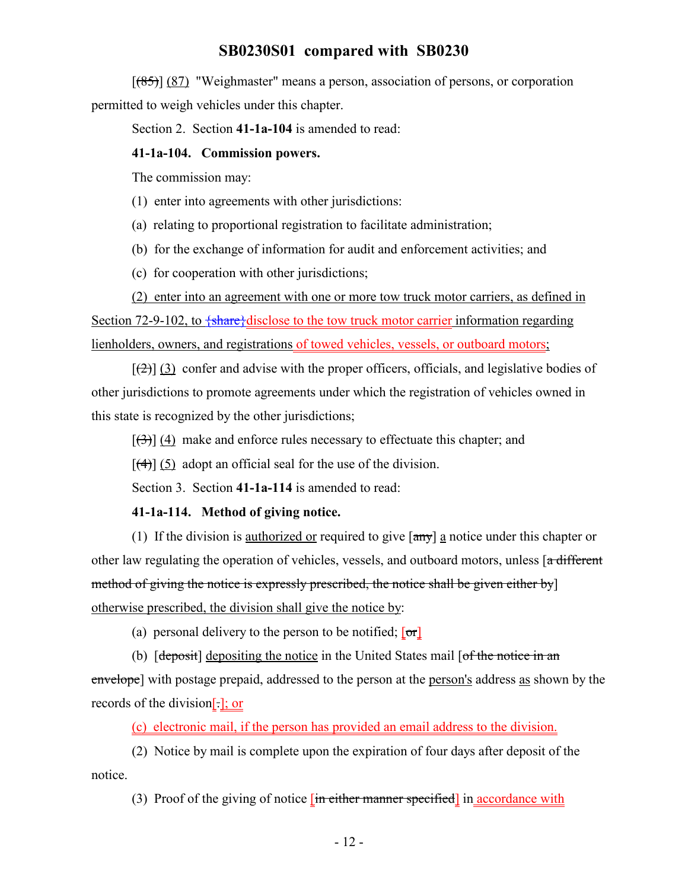$[ (85) ]$  (87) "Weighmaster" means a person, association of persons, or corporation permitted to weigh vehicles under this chapter.

Section 2. Section **41-1a-104** is amended to read:

#### **41-1a-104. Commission powers.**

The commission may:

(1) enter into agreements with other jurisdictions:

(a) relating to proportional registration to facilitate administration;

(b) for the exchange of information for audit and enforcement activities; and

(c) for cooperation with other jurisdictions;

(2) enter into an agreement with one or more tow truck motor carriers, as defined in Section 72-9-102, to  $\frac{1}{\text{share}}$  disclose to the tow truck motor carrier information regarding lienholders, owners, and registrations of towed vehicles, vessels, or outboard motors;

 $[\frac{1}{2}]$  (3) confer and advise with the proper officers, officials, and legislative bodies of other jurisdictions to promote agreements under which the registration of vehicles owned in this state is recognized by the other jurisdictions;

 $[\frac{1}{2}]$  (4) make and enforce rules necessary to effectuate this chapter; and

 $[\frac{4}{3}]$  (5) adopt an official seal for the use of the division.

Section 3. Section **41-1a-114** is amended to read:

#### **41-1a-114. Method of giving notice.**

(1) If the division is authorized or required to give  $\left[\frac{amy}{amy}\right]$  a notice under this chapter or other law regulating the operation of vehicles, vessels, and outboard motors, unless [a different method of giving the notice is expressly prescribed, the notice shall be given either by] otherwise prescribed, the division shall give the notice by:

(a) personal delivery to the person to be notified;  $\lceil \text{or} \rceil$ 

(b) [deposit] depositing the notice in the United States mail [of the notice in an envelope] with postage prepaid, addressed to the person at the person's address as shown by the records of the division[.]; or

(c) electronic mail, if the person has provided an email address to the division.

(2) Notice by mail is complete upon the expiration of four days after deposit of the notice.

(3) Proof of the giving of notice  $\left[\frac{\text{in either manner specified}}{\text{in} \times \text{in} \times \text{in} \times \text{in}}\right]$  in accordance with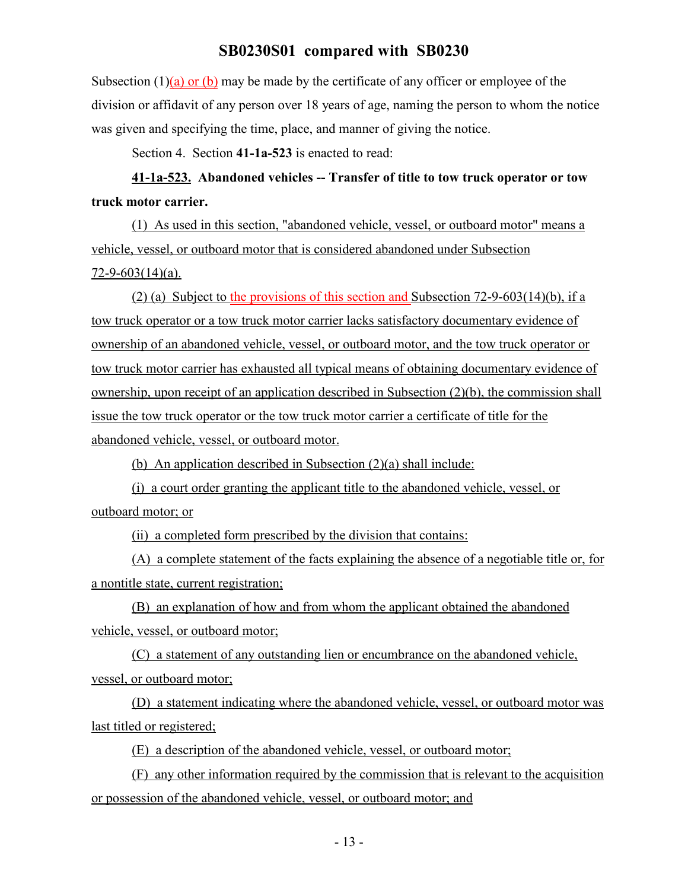Subsection  $(1)(a)$  or  $(b)$  may be made by the certificate of any officer or employee of the division or affidavit of any person over 18 years of age, naming the person to whom the notice was given and specifying the time, place, and manner of giving the notice.

Section 4. Section **41-1a-523** is enacted to read:

**41-1a-523. Abandoned vehicles -- Transfer of title to tow truck operator or tow truck motor carrier.**

(1) As used in this section, "abandoned vehicle, vessel, or outboard motor" means a vehicle, vessel, or outboard motor that is considered abandoned under Subsection 72-9-603(14)(a).

(2) (a) Subject to the provisions of this section and Subsection 72-9-603(14)(b), if a tow truck operator or a tow truck motor carrier lacks satisfactory documentary evidence of ownership of an abandoned vehicle, vessel, or outboard motor, and the tow truck operator or tow truck motor carrier has exhausted all typical means of obtaining documentary evidence of ownership, upon receipt of an application described in Subsection (2)(b), the commission shall issue the tow truck operator or the tow truck motor carrier a certificate of title for the abandoned vehicle, vessel, or outboard motor.

(b) An application described in Subsection (2)(a) shall include:

(i) a court order granting the applicant title to the abandoned vehicle, vessel, or outboard motor; or

(ii) a completed form prescribed by the division that contains:

(A) a complete statement of the facts explaining the absence of a negotiable title or, for a nontitle state, current registration;

(B) an explanation of how and from whom the applicant obtained the abandoned vehicle, vessel, or outboard motor;

(C) a statement of any outstanding lien or encumbrance on the abandoned vehicle, vessel, or outboard motor;

(D) a statement indicating where the abandoned vehicle, vessel, or outboard motor was last titled or registered;

(E) a description of the abandoned vehicle, vessel, or outboard motor;

(F) any other information required by the commission that is relevant to the acquisition or possession of the abandoned vehicle, vessel, or outboard motor; and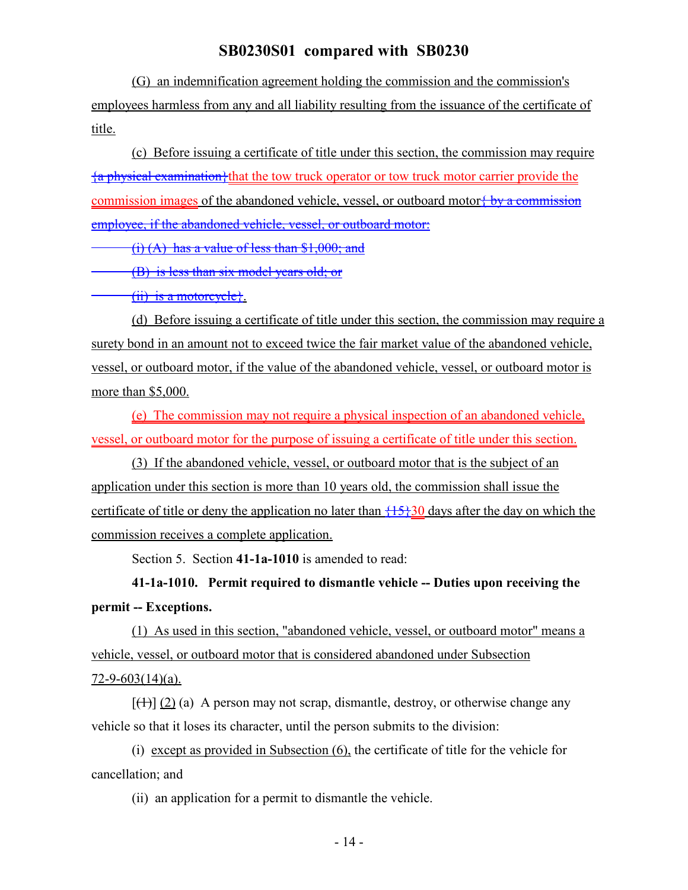(G) an indemnification agreement holding the commission and the commission's employees harmless from any and all liability resulting from the issuance of the certificate of title.

(c) Before issuing a certificate of title under this section, the commission may require {a physical examination}that the tow truck operator or tow truck motor carrier provide the commission images of the abandoned vehicle, vessel, or outboard motor  $\frac{1}{2}$  by a commission employee, if the abandoned vehicle, vessel, or outboard motor:

(i) (A) has a value of less than \$1,000; and

(B) is less than six model years old; or

(ii) is a motorcycle}.

(d) Before issuing a certificate of title under this section, the commission may require a surety bond in an amount not to exceed twice the fair market value of the abandoned vehicle, vessel, or outboard motor, if the value of the abandoned vehicle, vessel, or outboard motor is more than \$5,000.

(e) The commission may not require a physical inspection of an abandoned vehicle, vessel, or outboard motor for the purpose of issuing a certificate of title under this section.

(3) If the abandoned vehicle, vessel, or outboard motor that is the subject of an application under this section is more than 10 years old, the commission shall issue the certificate of title or deny the application no later than  $\{15\}30$  days after the day on which the commission receives a complete application.

Section 5. Section **41-1a-1010** is amended to read:

**41-1a-1010. Permit required to dismantle vehicle -- Duties upon receiving the permit -- Exceptions.**

(1) As used in this section, "abandoned vehicle, vessel, or outboard motor" means a vehicle, vessel, or outboard motor that is considered abandoned under Subsection 72-9-603(14)(a).

 $[\frac{+1}{2}]$  (2) (a) A person may not scrap, dismantle, destroy, or otherwise change any vehicle so that it loses its character, until the person submits to the division:

(i) except as provided in Subsection (6), the certificate of title for the vehicle for cancellation; and

(ii) an application for a permit to dismantle the vehicle.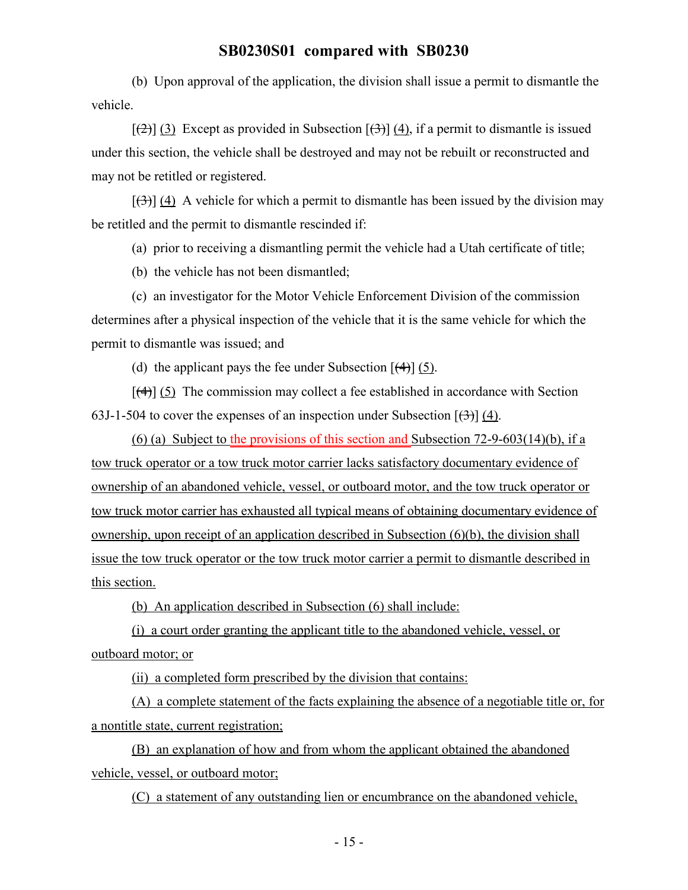(b) Upon approval of the application, the division shall issue a permit to dismantle the vehicle.

 $[\frac{1}{2}]$  (3) Except as provided in Subsection  $[\frac{1}{3}]$  (4), if a permit to dismantle is issued under this section, the vehicle shall be destroyed and may not be rebuilt or reconstructed and may not be retitled or registered.

 $[\frac{1}{3}]$  (4) A vehicle for which a permit to dismantle has been issued by the division may be retitled and the permit to dismantle rescinded if:

(a) prior to receiving a dismantling permit the vehicle had a Utah certificate of title;

(b) the vehicle has not been dismantled;

(c) an investigator for the Motor Vehicle Enforcement Division of the commission determines after a physical inspection of the vehicle that it is the same vehicle for which the permit to dismantle was issued; and

(d) the applicant pays the fee under Subsection  $[$ (4) $]$  (5).

 $[\frac{4}{3}]$  (5) The commission may collect a fee established in accordance with Section 63J-1-504 to cover the expenses of an inspection under Subsection  $\left[\left(\frac{3}{2}\right)\right]$  (4).

(6) (a) Subject to the provisions of this section and Subsection 72-9-603(14)(b), if a tow truck operator or a tow truck motor carrier lacks satisfactory documentary evidence of ownership of an abandoned vehicle, vessel, or outboard motor, and the tow truck operator or tow truck motor carrier has exhausted all typical means of obtaining documentary evidence of ownership, upon receipt of an application described in Subsection (6)(b), the division shall issue the tow truck operator or the tow truck motor carrier a permit to dismantle described in this section.

(b) An application described in Subsection (6) shall include:

(i) a court order granting the applicant title to the abandoned vehicle, vessel, or outboard motor; or

(ii) a completed form prescribed by the division that contains:

(A) a complete statement of the facts explaining the absence of a negotiable title or, for a nontitle state, current registration;

(B) an explanation of how and from whom the applicant obtained the abandoned vehicle, vessel, or outboard motor;

(C) a statement of any outstanding lien or encumbrance on the abandoned vehicle,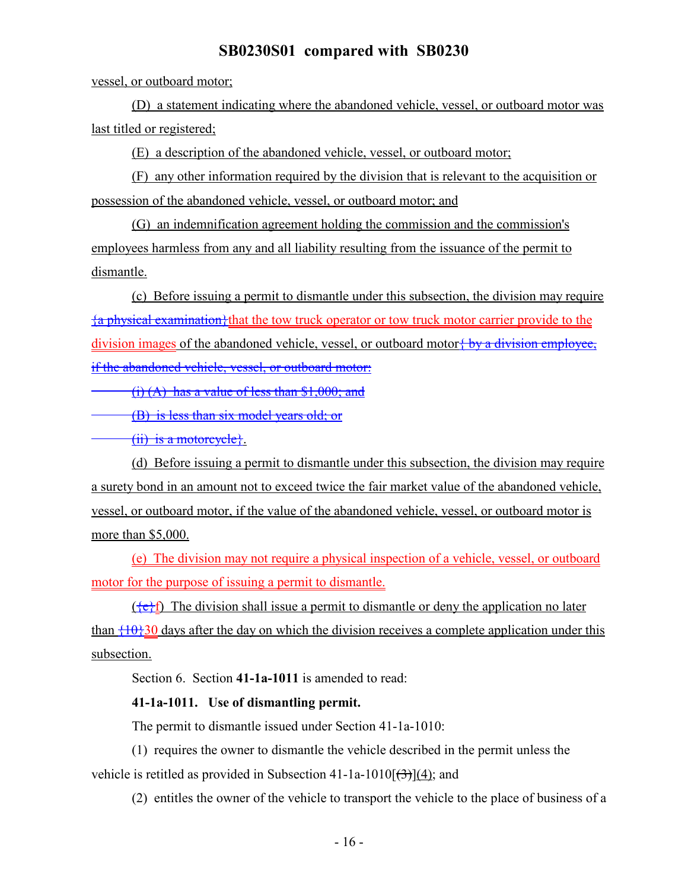vessel, or outboard motor;

(D) a statement indicating where the abandoned vehicle, vessel, or outboard motor was last titled or registered;

(E) a description of the abandoned vehicle, vessel, or outboard motor;

(F) any other information required by the division that is relevant to the acquisition or possession of the abandoned vehicle, vessel, or outboard motor; and

(G) an indemnification agreement holding the commission and the commission's employees harmless from any and all liability resulting from the issuance of the permit to dismantle.

(c) Before issuing a permit to dismantle under this subsection, the division may require  $\{a\}$  physical examination}that the tow truck operator or tow truck motor carrier provide to the division images of the abandoned vehicle, vessel, or outboard motor  $\frac{1}{2}$  by a division employee, if the abandoned vehicle, vessel, or outboard motor:

(i) (A) has a value of less than \$1,000; and

(B) is less than six model years old; or

(ii) is a motorcycle}.

(d) Before issuing a permit to dismantle under this subsection, the division may require a surety bond in an amount not to exceed twice the fair market value of the abandoned vehicle, vessel, or outboard motor, if the value of the abandoned vehicle, vessel, or outboard motor is more than \$5,000.

(e) The division may not require a physical inspection of a vehicle, vessel, or outboard motor for the purpose of issuing a permit to dismantle.

 $({e}^{i})$  The division shall issue a permit to dismantle or deny the application no later than  $\{\pm 0\}$ 30 days after the day on which the division receives a complete application under this subsection.

Section 6. Section **41-1a-1011** is amended to read:

#### **41-1a-1011. Use of dismantling permit.**

The permit to dismantle issued under Section 41-1a-1010:

(1) requires the owner to dismantle the vehicle described in the permit unless the vehicle is retitled as provided in Subsection 41-1a-1010 $\left[\left(3\right)\right]$  $(4)$ ; and

(2) entitles the owner of the vehicle to transport the vehicle to the place of business of a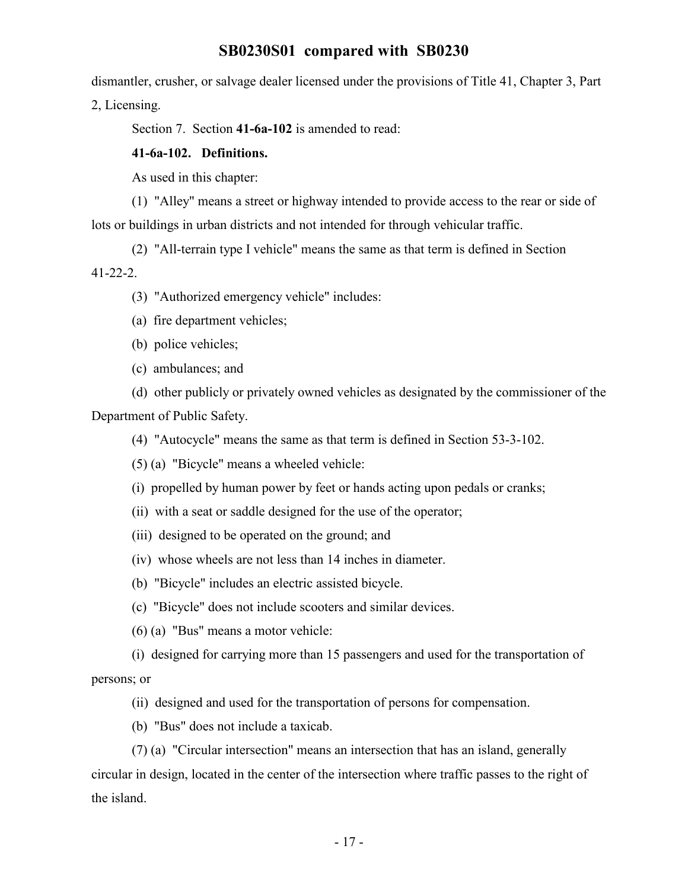dismantler, crusher, or salvage dealer licensed under the provisions of Title 41, Chapter 3, Part 2, Licensing.

Section 7. Section **41-6a-102** is amended to read:

#### **41-6a-102. Definitions.**

As used in this chapter:

(1) "Alley" means a street or highway intended to provide access to the rear or side of lots or buildings in urban districts and not intended for through vehicular traffic.

(2) "All-terrain type I vehicle" means the same as that term is defined in Section 41-22-2.

(3) "Authorized emergency vehicle" includes:

- (a) fire department vehicles;
- (b) police vehicles;

(c) ambulances; and

(d) other publicly or privately owned vehicles as designated by the commissioner of the Department of Public Safety.

(4) "Autocycle" means the same as that term is defined in Section 53-3-102.

- (5) (a) "Bicycle" means a wheeled vehicle:
- (i) propelled by human power by feet or hands acting upon pedals or cranks;
- (ii) with a seat or saddle designed for the use of the operator;
- (iii) designed to be operated on the ground; and
- (iv) whose wheels are not less than 14 inches in diameter.
- (b) "Bicycle" includes an electric assisted bicycle.
- (c) "Bicycle" does not include scooters and similar devices.
- (6) (a) "Bus" means a motor vehicle:

(i) designed for carrying more than 15 passengers and used for the transportation of persons; or

- (ii) designed and used for the transportation of persons for compensation.
- (b) "Bus" does not include a taxicab.

(7) (a) "Circular intersection" means an intersection that has an island, generally circular in design, located in the center of the intersection where traffic passes to the right of the island.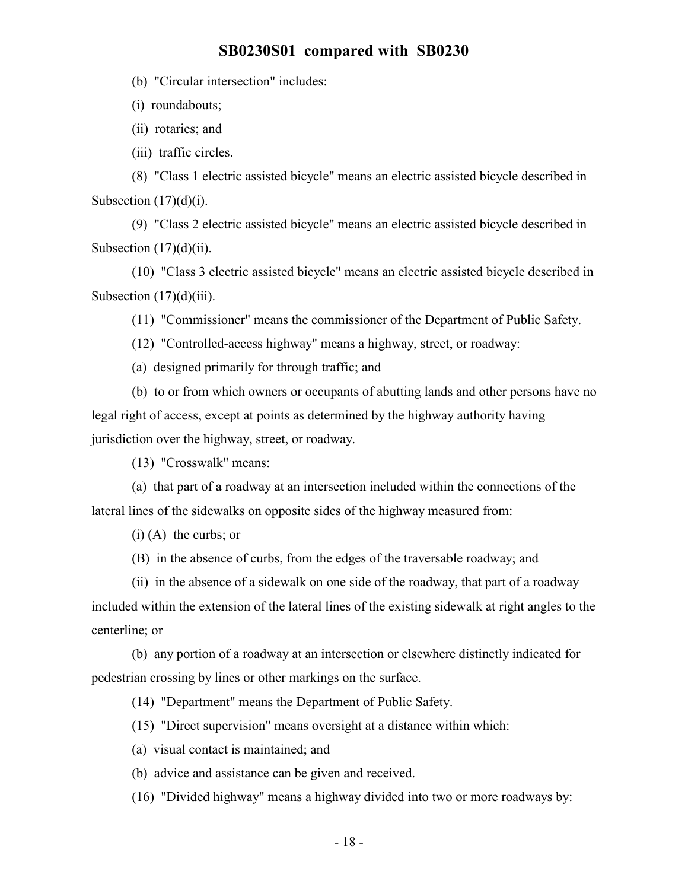(b) "Circular intersection" includes:

(i) roundabouts;

(ii) rotaries; and

(iii) traffic circles.

(8) "Class 1 electric assisted bicycle" means an electric assisted bicycle described in Subsection  $(17)(d)(i)$ .

(9) "Class 2 electric assisted bicycle" means an electric assisted bicycle described in Subsection  $(17)(d)(ii)$ .

(10) "Class 3 electric assisted bicycle" means an electric assisted bicycle described in Subsection  $(17)(d)(iii)$ .

(11) "Commissioner" means the commissioner of the Department of Public Safety.

(12) "Controlled-access highway" means a highway, street, or roadway:

(a) designed primarily for through traffic; and

(b) to or from which owners or occupants of abutting lands and other persons have no legal right of access, except at points as determined by the highway authority having jurisdiction over the highway, street, or roadway.

(13) "Crosswalk" means:

(a) that part of a roadway at an intersection included within the connections of the lateral lines of the sidewalks on opposite sides of the highway measured from:

(i) (A) the curbs; or

(B) in the absence of curbs, from the edges of the traversable roadway; and

(ii) in the absence of a sidewalk on one side of the roadway, that part of a roadway included within the extension of the lateral lines of the existing sidewalk at right angles to the centerline; or

(b) any portion of a roadway at an intersection or elsewhere distinctly indicated for pedestrian crossing by lines or other markings on the surface.

(14) "Department" means the Department of Public Safety.

(15) "Direct supervision" means oversight at a distance within which:

(a) visual contact is maintained; and

(b) advice and assistance can be given and received.

(16) "Divided highway" means a highway divided into two or more roadways by: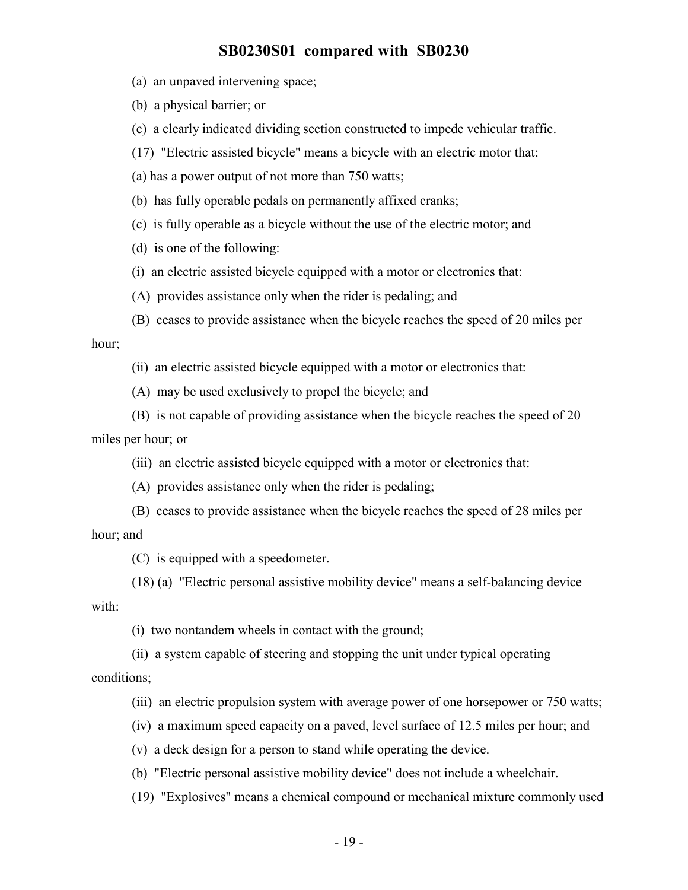(a) an unpaved intervening space;

(b) a physical barrier; or

(c) a clearly indicated dividing section constructed to impede vehicular traffic.

(17) "Electric assisted bicycle" means a bicycle with an electric motor that:

(a) has a power output of not more than 750 watts;

(b) has fully operable pedals on permanently affixed cranks;

(c) is fully operable as a bicycle without the use of the electric motor; and

(d) is one of the following:

(i) an electric assisted bicycle equipped with a motor or electronics that:

(A) provides assistance only when the rider is pedaling; and

(B) ceases to provide assistance when the bicycle reaches the speed of 20 miles per hour;

(ii) an electric assisted bicycle equipped with a motor or electronics that:

(A) may be used exclusively to propel the bicycle; and

(B) is not capable of providing assistance when the bicycle reaches the speed of 20 miles per hour; or

(iii) an electric assisted bicycle equipped with a motor or electronics that:

(A) provides assistance only when the rider is pedaling;

(B) ceases to provide assistance when the bicycle reaches the speed of 28 miles per hour; and

(C) is equipped with a speedometer.

(18) (a) "Electric personal assistive mobility device" means a self-balancing device with:

(i) two nontandem wheels in contact with the ground;

(ii) a system capable of steering and stopping the unit under typical operating conditions;

(iii) an electric propulsion system with average power of one horsepower or 750 watts;

(iv) a maximum speed capacity on a paved, level surface of 12.5 miles per hour; and

(v) a deck design for a person to stand while operating the device.

(b) "Electric personal assistive mobility device" does not include a wheelchair.

(19) "Explosives" means a chemical compound or mechanical mixture commonly used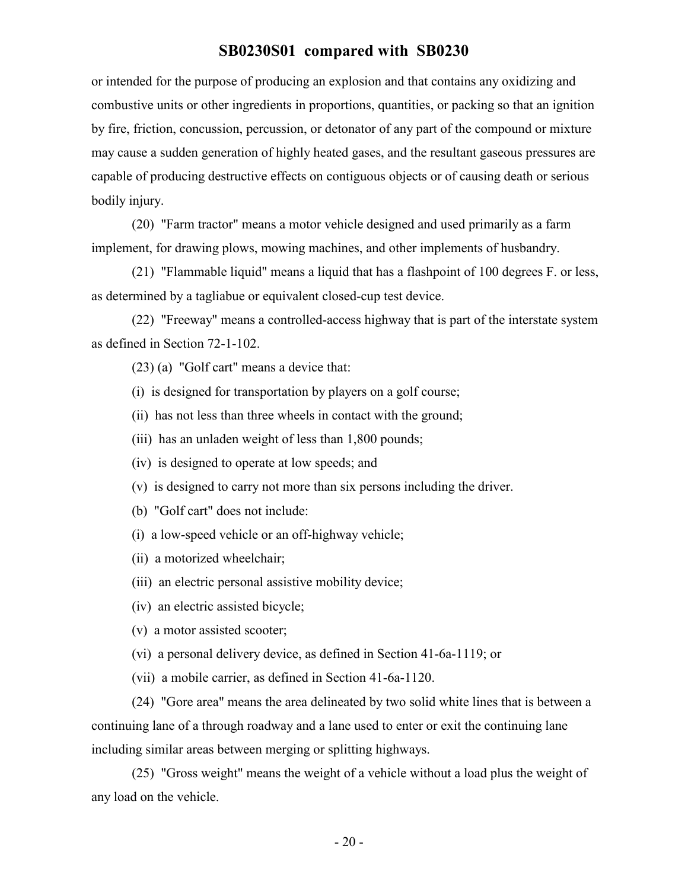or intended for the purpose of producing an explosion and that contains any oxidizing and combustive units or other ingredients in proportions, quantities, or packing so that an ignition by fire, friction, concussion, percussion, or detonator of any part of the compound or mixture may cause a sudden generation of highly heated gases, and the resultant gaseous pressures are capable of producing destructive effects on contiguous objects or of causing death or serious bodily injury.

(20) "Farm tractor" means a motor vehicle designed and used primarily as a farm implement, for drawing plows, mowing machines, and other implements of husbandry.

(21) "Flammable liquid" means a liquid that has a flashpoint of 100 degrees F. or less, as determined by a tagliabue or equivalent closed-cup test device.

(22) "Freeway" means a controlled-access highway that is part of the interstate system as defined in Section 72-1-102.

(23) (a) "Golf cart" means a device that:

(i) is designed for transportation by players on a golf course;

(ii) has not less than three wheels in contact with the ground;

- (iii) has an unladen weight of less than 1,800 pounds;
- (iv) is designed to operate at low speeds; and
- (v) is designed to carry not more than six persons including the driver.
- (b) "Golf cart" does not include:
- (i) a low-speed vehicle or an off-highway vehicle;
- (ii) a motorized wheelchair;
- (iii) an electric personal assistive mobility device;
- (iv) an electric assisted bicycle;
- (v) a motor assisted scooter;
- (vi) a personal delivery device, as defined in Section 41-6a-1119; or
- (vii) a mobile carrier, as defined in Section 41-6a-1120.

(24) "Gore area" means the area delineated by two solid white lines that is between a continuing lane of a through roadway and a lane used to enter or exit the continuing lane including similar areas between merging or splitting highways.

(25) "Gross weight" means the weight of a vehicle without a load plus the weight of any load on the vehicle.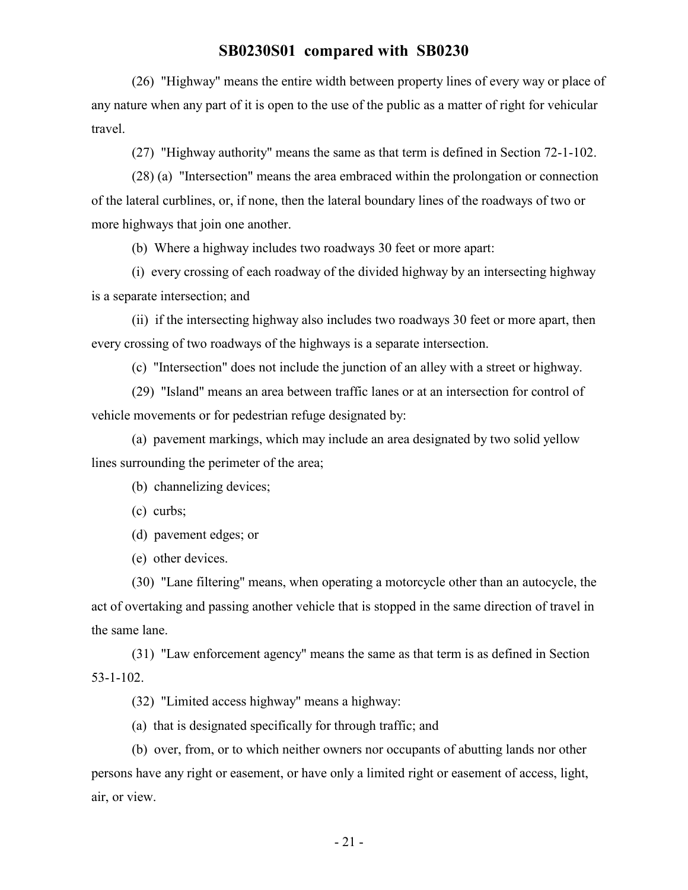(26) "Highway" means the entire width between property lines of every way or place of any nature when any part of it is open to the use of the public as a matter of right for vehicular travel.

(27) "Highway authority" means the same as that term is defined in Section 72-1-102.

(28) (a) "Intersection" means the area embraced within the prolongation or connection of the lateral curblines, or, if none, then the lateral boundary lines of the roadways of two or more highways that join one another.

(b) Where a highway includes two roadways 30 feet or more apart:

(i) every crossing of each roadway of the divided highway by an intersecting highway is a separate intersection; and

(ii) if the intersecting highway also includes two roadways 30 feet or more apart, then every crossing of two roadways of the highways is a separate intersection.

(c) "Intersection" does not include the junction of an alley with a street or highway.

(29) "Island" means an area between traffic lanes or at an intersection for control of vehicle movements or for pedestrian refuge designated by:

(a) pavement markings, which may include an area designated by two solid yellow lines surrounding the perimeter of the area;

(b) channelizing devices;

(c) curbs;

(d) pavement edges; or

(e) other devices.

(30) "Lane filtering" means, when operating a motorcycle other than an autocycle, the act of overtaking and passing another vehicle that is stopped in the same direction of travel in the same lane.

(31) "Law enforcement agency" means the same as that term is as defined in Section 53-1-102.

(32) "Limited access highway" means a highway:

(a) that is designated specifically for through traffic; and

(b) over, from, or to which neither owners nor occupants of abutting lands nor other persons have any right or easement, or have only a limited right or easement of access, light, air, or view.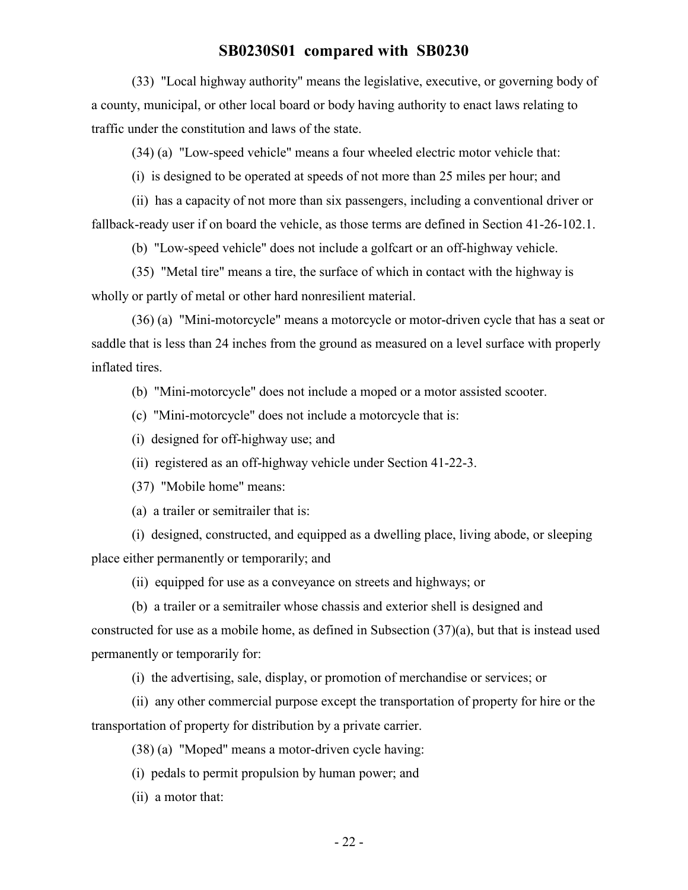(33) "Local highway authority" means the legislative, executive, or governing body of a county, municipal, or other local board or body having authority to enact laws relating to traffic under the constitution and laws of the state.

(34) (a) "Low-speed vehicle" means a four wheeled electric motor vehicle that:

(i) is designed to be operated at speeds of not more than 25 miles per hour; and

(ii) has a capacity of not more than six passengers, including a conventional driver or fallback-ready user if on board the vehicle, as those terms are defined in Section 41-26-102.1.

(b) "Low-speed vehicle" does not include a golfcart or an off-highway vehicle.

(35) "Metal tire" means a tire, the surface of which in contact with the highway is wholly or partly of metal or other hard nonresilient material.

(36) (a) "Mini-motorcycle" means a motorcycle or motor-driven cycle that has a seat or saddle that is less than 24 inches from the ground as measured on a level surface with properly inflated tires.

(b) "Mini-motorcycle" does not include a moped or a motor assisted scooter.

(c) "Mini-motorcycle" does not include a motorcycle that is:

(i) designed for off-highway use; and

(ii) registered as an off-highway vehicle under Section 41-22-3.

(37) "Mobile home" means:

(a) a trailer or semitrailer that is:

(i) designed, constructed, and equipped as a dwelling place, living abode, or sleeping place either permanently or temporarily; and

(ii) equipped for use as a conveyance on streets and highways; or

(b) a trailer or a semitrailer whose chassis and exterior shell is designed and

constructed for use as a mobile home, as defined in Subsection (37)(a), but that is instead used permanently or temporarily for:

(i) the advertising, sale, display, or promotion of merchandise or services; or

(ii) any other commercial purpose except the transportation of property for hire or the transportation of property for distribution by a private carrier.

(38) (a) "Moped" means a motor-driven cycle having:

(i) pedals to permit propulsion by human power; and

(ii) a motor that: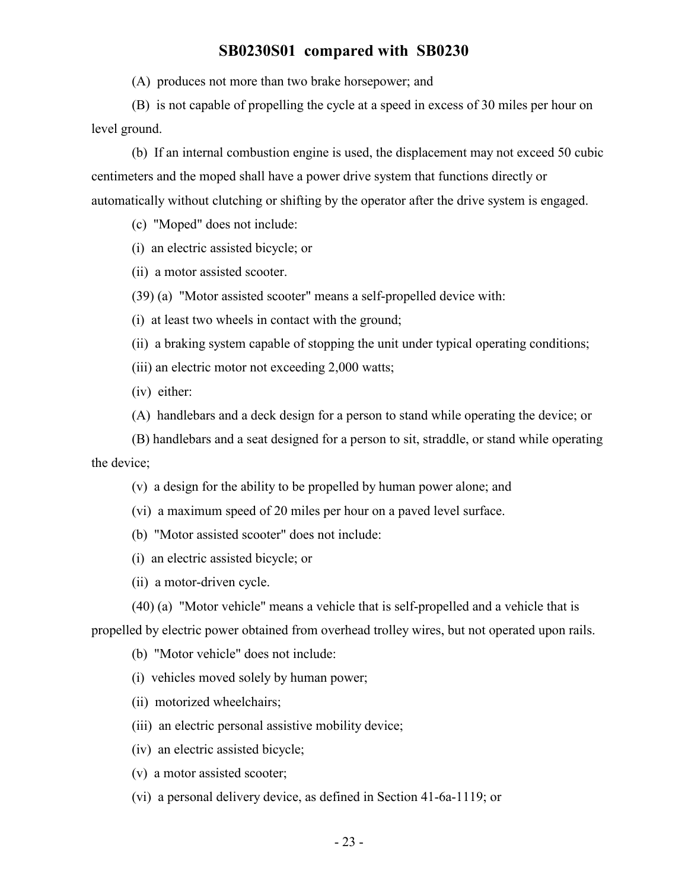(A) produces not more than two brake horsepower; and

(B) is not capable of propelling the cycle at a speed in excess of 30 miles per hour on level ground.

(b) If an internal combustion engine is used, the displacement may not exceed 50 cubic centimeters and the moped shall have a power drive system that functions directly or automatically without clutching or shifting by the operator after the drive system is engaged.

(c) "Moped" does not include:

(i) an electric assisted bicycle; or

(ii) a motor assisted scooter.

(39) (a) "Motor assisted scooter" means a self-propelled device with:

(i) at least two wheels in contact with the ground;

(ii) a braking system capable of stopping the unit under typical operating conditions;

(iii) an electric motor not exceeding 2,000 watts;

(iv) either:

(A) handlebars and a deck design for a person to stand while operating the device; or

(B) handlebars and a seat designed for a person to sit, straddle, or stand while operating the device;

(v) a design for the ability to be propelled by human power alone; and

(vi) a maximum speed of 20 miles per hour on a paved level surface.

(b) "Motor assisted scooter" does not include:

(i) an electric assisted bicycle; or

(ii) a motor-driven cycle.

(40) (a) "Motor vehicle" means a vehicle that is self-propelled and a vehicle that is

propelled by electric power obtained from overhead trolley wires, but not operated upon rails.

(b) "Motor vehicle" does not include:

(i) vehicles moved solely by human power;

(ii) motorized wheelchairs;

(iii) an electric personal assistive mobility device;

(iv) an electric assisted bicycle;

(v) a motor assisted scooter;

(vi) a personal delivery device, as defined in Section 41-6a-1119; or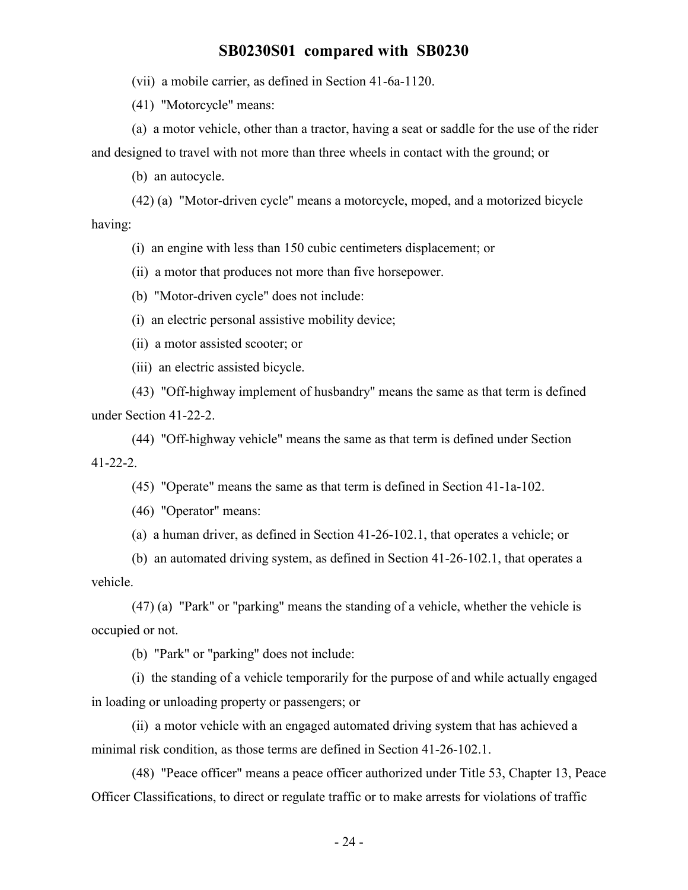(vii) a mobile carrier, as defined in Section 41-6a-1120.

(41) "Motorcycle" means:

(a) a motor vehicle, other than a tractor, having a seat or saddle for the use of the rider and designed to travel with not more than three wheels in contact with the ground; or

(b) an autocycle.

(42) (a) "Motor-driven cycle" means a motorcycle, moped, and a motorized bicycle having:

(i) an engine with less than 150 cubic centimeters displacement; or

(ii) a motor that produces not more than five horsepower.

(b) "Motor-driven cycle" does not include:

(i) an electric personal assistive mobility device;

(ii) a motor assisted scooter; or

(iii) an electric assisted bicycle.

(43) "Off-highway implement of husbandry" means the same as that term is defined under Section 41-22-2.

(44) "Off-highway vehicle" means the same as that term is defined under Section 41-22-2.

(45) "Operate" means the same as that term is defined in Section 41-1a-102.

(46) "Operator" means:

(a) a human driver, as defined in Section 41-26-102.1, that operates a vehicle; or

(b) an automated driving system, as defined in Section 41-26-102.1, that operates a vehicle.

(47) (a) "Park" or "parking" means the standing of a vehicle, whether the vehicle is occupied or not.

(b) "Park" or "parking" does not include:

(i) the standing of a vehicle temporarily for the purpose of and while actually engaged in loading or unloading property or passengers; or

(ii) a motor vehicle with an engaged automated driving system that has achieved a minimal risk condition, as those terms are defined in Section 41-26-102.1.

(48) "Peace officer" means a peace officer authorized under Title 53, Chapter 13, Peace Officer Classifications, to direct or regulate traffic or to make arrests for violations of traffic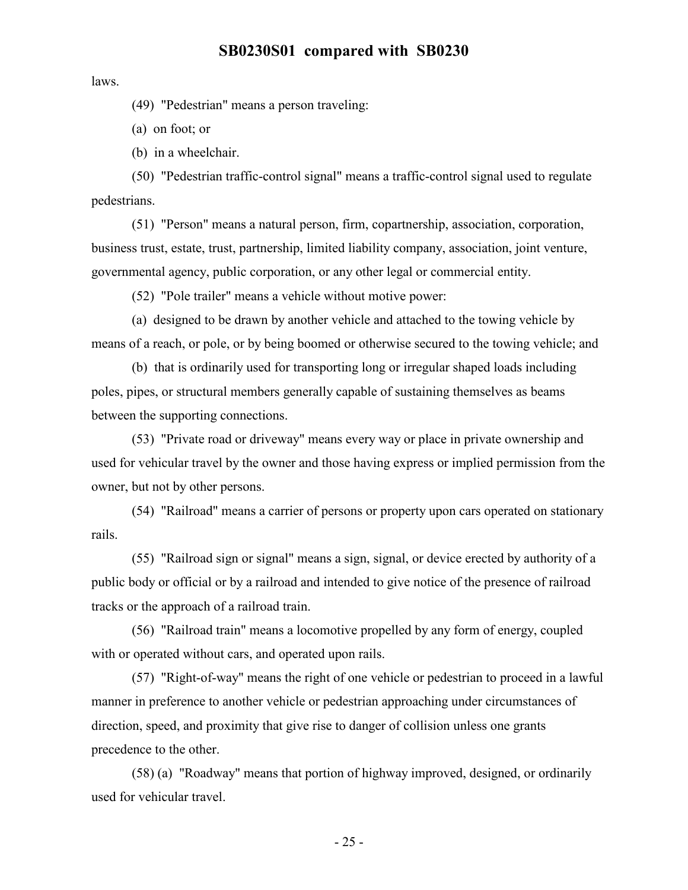laws.

(49) "Pedestrian" means a person traveling:

(a) on foot; or

(b) in a wheelchair.

(50) "Pedestrian traffic-control signal" means a traffic-control signal used to regulate pedestrians.

(51) "Person" means a natural person, firm, copartnership, association, corporation, business trust, estate, trust, partnership, limited liability company, association, joint venture, governmental agency, public corporation, or any other legal or commercial entity.

(52) "Pole trailer" means a vehicle without motive power:

(a) designed to be drawn by another vehicle and attached to the towing vehicle by means of a reach, or pole, or by being boomed or otherwise secured to the towing vehicle; and

(b) that is ordinarily used for transporting long or irregular shaped loads including poles, pipes, or structural members generally capable of sustaining themselves as beams between the supporting connections.

(53) "Private road or driveway" means every way or place in private ownership and used for vehicular travel by the owner and those having express or implied permission from the owner, but not by other persons.

(54) "Railroad" means a carrier of persons or property upon cars operated on stationary rails.

(55) "Railroad sign or signal" means a sign, signal, or device erected by authority of a public body or official or by a railroad and intended to give notice of the presence of railroad tracks or the approach of a railroad train.

(56) "Railroad train" means a locomotive propelled by any form of energy, coupled with or operated without cars, and operated upon rails.

(57) "Right-of-way" means the right of one vehicle or pedestrian to proceed in a lawful manner in preference to another vehicle or pedestrian approaching under circumstances of direction, speed, and proximity that give rise to danger of collision unless one grants precedence to the other.

(58) (a) "Roadway" means that portion of highway improved, designed, or ordinarily used for vehicular travel.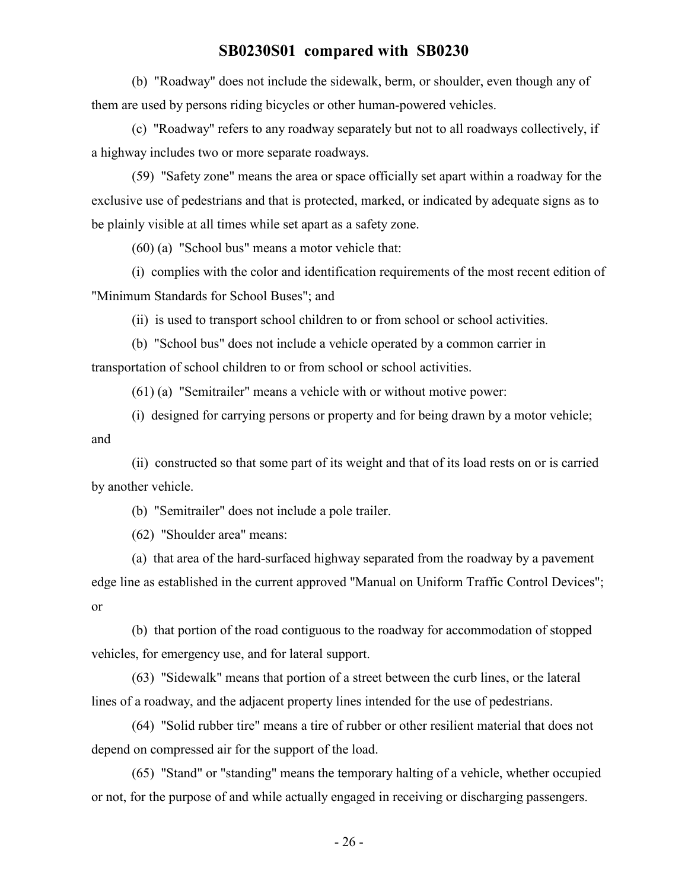(b) "Roadway" does not include the sidewalk, berm, or shoulder, even though any of them are used by persons riding bicycles or other human-powered vehicles.

(c) "Roadway" refers to any roadway separately but not to all roadways collectively, if a highway includes two or more separate roadways.

(59) "Safety zone" means the area or space officially set apart within a roadway for the exclusive use of pedestrians and that is protected, marked, or indicated by adequate signs as to be plainly visible at all times while set apart as a safety zone.

(60) (a) "School bus" means a motor vehicle that:

(i) complies with the color and identification requirements of the most recent edition of "Minimum Standards for School Buses"; and

(ii) is used to transport school children to or from school or school activities.

(b) "School bus" does not include a vehicle operated by a common carrier in transportation of school children to or from school or school activities.

(61) (a) "Semitrailer" means a vehicle with or without motive power:

(i) designed for carrying persons or property and for being drawn by a motor vehicle; and

(ii) constructed so that some part of its weight and that of its load rests on or is carried by another vehicle.

(b) "Semitrailer" does not include a pole trailer.

(62) "Shoulder area" means:

(a) that area of the hard-surfaced highway separated from the roadway by a pavement edge line as established in the current approved "Manual on Uniform Traffic Control Devices"; or

(b) that portion of the road contiguous to the roadway for accommodation of stopped vehicles, for emergency use, and for lateral support.

(63) "Sidewalk" means that portion of a street between the curb lines, or the lateral lines of a roadway, and the adjacent property lines intended for the use of pedestrians.

(64) "Solid rubber tire" means a tire of rubber or other resilient material that does not depend on compressed air for the support of the load.

(65) "Stand" or "standing" means the temporary halting of a vehicle, whether occupied or not, for the purpose of and while actually engaged in receiving or discharging passengers.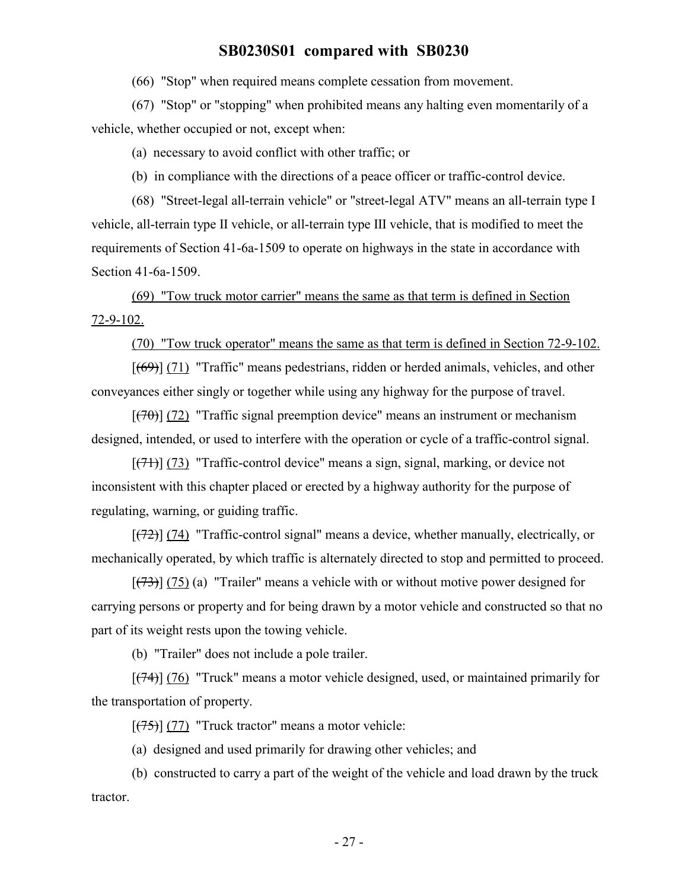(66) "Stop" when required means complete cessation from movement.

(67) "Stop" or "stopping" when prohibited means any halting even momentarily of a vehicle, whether occupied or not, except when:

(a) necessary to avoid conflict with other traffic; or

(b) in compliance with the directions of a peace officer or traffic-control device.

(68) "Street-legal all-terrain vehicle" or "street-legal ATV" means an all-terrain type I vehicle, all-terrain type II vehicle, or all-terrain type III vehicle, that is modified to meet the requirements of Section 41-6a-1509 to operate on highways in the state in accordance with Section 41-6a-1509.

(69) "Tow truck motor carrier" means the same as that term is defined in Section 72-9-102.

(70) "Tow truck operator" means the same as that term is defined in Section 72-9-102.

 $[(69)]$  (71) "Traffic" means pedestrians, ridden or herded animals, vehicles, and other conveyances either singly or together while using any highway for the purpose of travel.

 $[(70)]$  (72) "Traffic signal preemption device" means an instrument or mechanism designed, intended, or used to interfere with the operation or cycle of a traffic-control signal.

 $[(71)]$  (73) "Traffic-control device" means a sign, signal, marking, or device not inconsistent with this chapter placed or erected by a highway authority for the purpose of regulating, warning, or guiding traffic.

 $[ (72) ]$  (74) "Traffic-control signal" means a device, whether manually, electrically, or mechanically operated, by which traffic is alternately directed to stop and permitted to proceed.

 $[ (73) ] (75)$  (a) "Trailer" means a vehicle with or without motive power designed for carrying persons or property and for being drawn by a motor vehicle and constructed so that no part of its weight rests upon the towing vehicle.

(b) "Trailer" does not include a pole trailer.

 $[ (74) ]$  (76) "Truck" means a motor vehicle designed, used, or maintained primarily for the transportation of property.

 $[ (75) ] (77)$  "Truck tractor" means a motor vehicle:

(a) designed and used primarily for drawing other vehicles; and

(b) constructed to carry a part of the weight of the vehicle and load drawn by the truck tractor.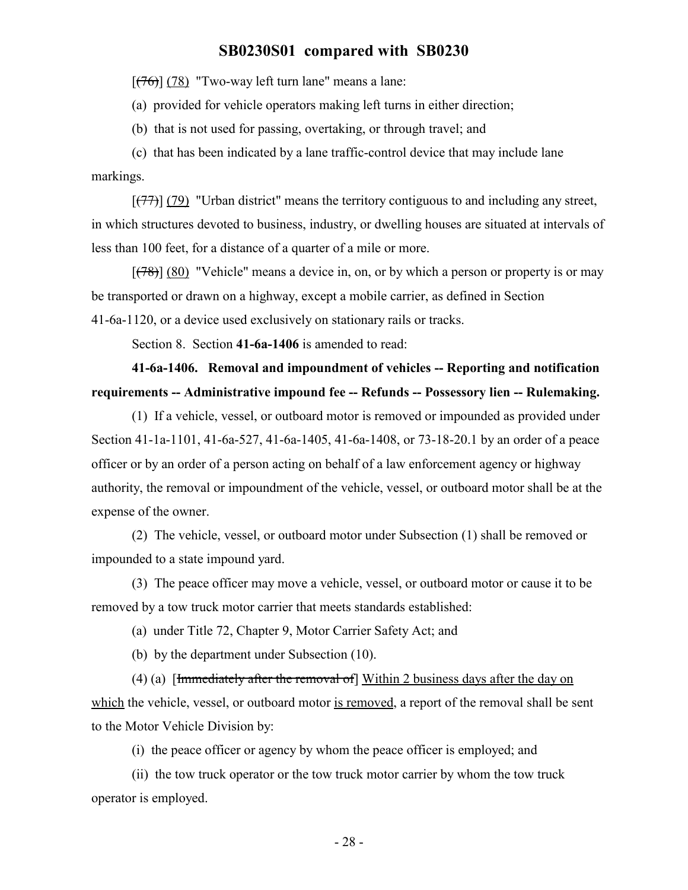$[ (76) ] (78)$  "Two-way left turn lane" means a lane:

(a) provided for vehicle operators making left turns in either direction;

(b) that is not used for passing, overtaking, or through travel; and

(c) that has been indicated by a lane traffic-control device that may include lane markings.

 $[ (77) ]$  (79) "Urban district" means the territory contiguous to and including any street, in which structures devoted to business, industry, or dwelling houses are situated at intervals of less than 100 feet, for a distance of a quarter of a mile or more.

 $[ (78) ] (80)$  "Vehicle" means a device in, on, or by which a person or property is or may be transported or drawn on a highway, except a mobile carrier, as defined in Section 41-6a-1120, or a device used exclusively on stationary rails or tracks.

Section 8. Section **41-6a-1406** is amended to read:

# **41-6a-1406. Removal and impoundment of vehicles -- Reporting and notification requirements -- Administrative impound fee -- Refunds -- Possessory lien -- Rulemaking.**

(1) If a vehicle, vessel, or outboard motor is removed or impounded as provided under Section 41-1a-1101, 41-6a-527, 41-6a-1405, 41-6a-1408, or 73-18-20.1 by an order of a peace officer or by an order of a person acting on behalf of a law enforcement agency or highway authority, the removal or impoundment of the vehicle, vessel, or outboard motor shall be at the expense of the owner.

(2) The vehicle, vessel, or outboard motor under Subsection (1) shall be removed or impounded to a state impound yard.

(3) The peace officer may move a vehicle, vessel, or outboard motor or cause it to be removed by a tow truck motor carrier that meets standards established:

(a) under Title 72, Chapter 9, Motor Carrier Safety Act; and

(b) by the department under Subsection (10).

(4) (a) [Immediately after the removal of] Within 2 business days after the day on which the vehicle, vessel, or outboard motor is removed, a report of the removal shall be sent to the Motor Vehicle Division by:

(i) the peace officer or agency by whom the peace officer is employed; and

(ii) the tow truck operator or the tow truck motor carrier by whom the tow truck operator is employed.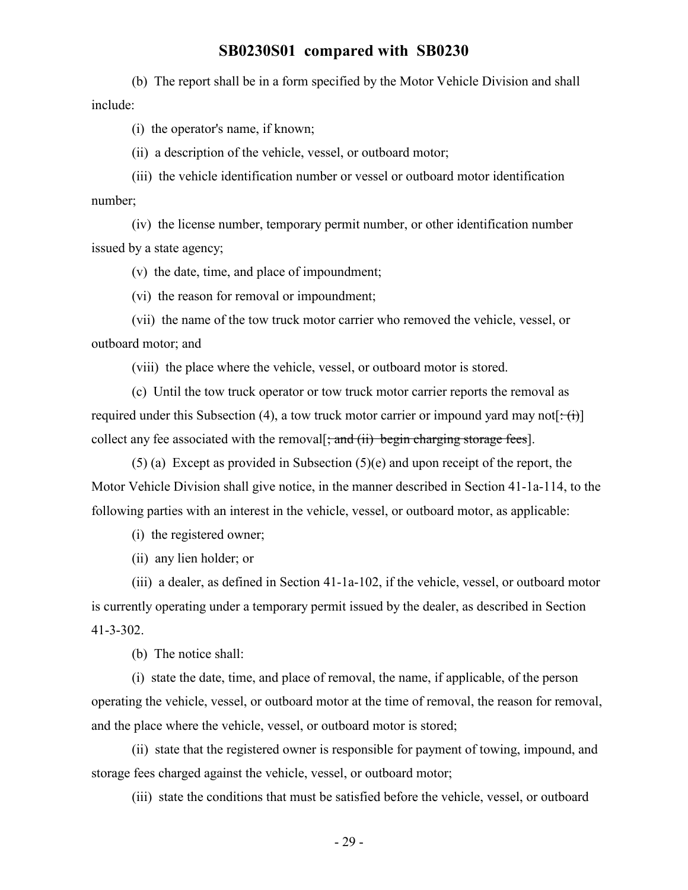(b) The report shall be in a form specified by the Motor Vehicle Division and shall include:

(i) the operator's name, if known;

(ii) a description of the vehicle, vessel, or outboard motor;

(iii) the vehicle identification number or vessel or outboard motor identification number;

(iv) the license number, temporary permit number, or other identification number issued by a state agency;

(v) the date, time, and place of impoundment;

(vi) the reason for removal or impoundment;

(vii) the name of the tow truck motor carrier who removed the vehicle, vessel, or outboard motor; and

(viii) the place where the vehicle, vessel, or outboard motor is stored.

(c) Until the tow truck operator or tow truck motor carrier reports the removal as required under this Subsection (4), a tow truck motor carrier or impound yard may not[ $\div$ (i)] collect any fee associated with the removal  $\frac{1}{2}$  and  $\frac{1}{2}$  begin charging storage fees].

(5) (a) Except as provided in Subsection (5)(e) and upon receipt of the report, the Motor Vehicle Division shall give notice, in the manner described in Section 41-1a-114, to the following parties with an interest in the vehicle, vessel, or outboard motor, as applicable:

(i) the registered owner;

(ii) any lien holder; or

(iii) a dealer, as defined in Section 41-1a-102, if the vehicle, vessel, or outboard motor is currently operating under a temporary permit issued by the dealer, as described in Section 41-3-302.

(b) The notice shall:

(i) state the date, time, and place of removal, the name, if applicable, of the person operating the vehicle, vessel, or outboard motor at the time of removal, the reason for removal, and the place where the vehicle, vessel, or outboard motor is stored;

(ii) state that the registered owner is responsible for payment of towing, impound, and storage fees charged against the vehicle, vessel, or outboard motor;

(iii) state the conditions that must be satisfied before the vehicle, vessel, or outboard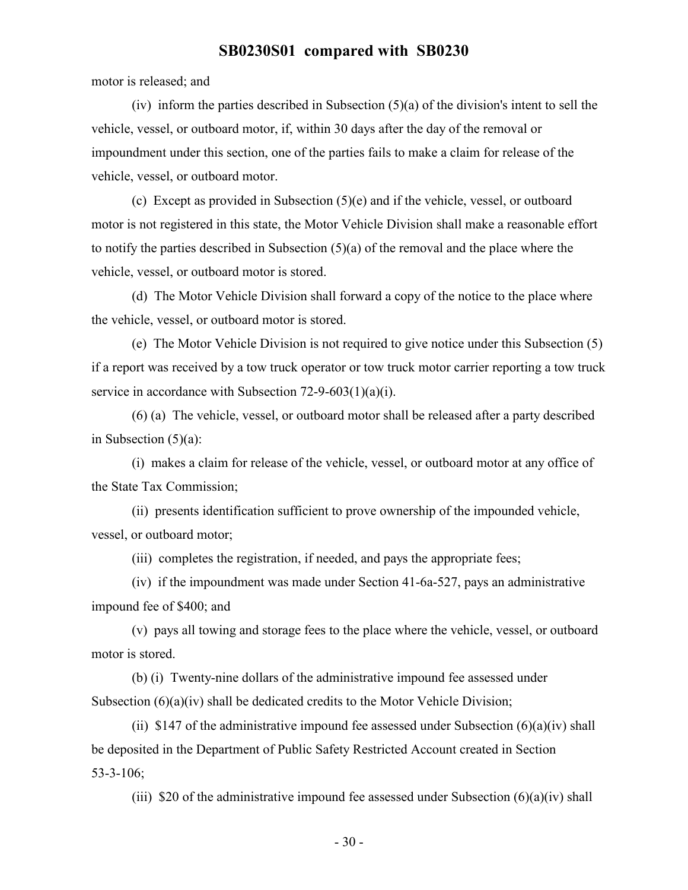motor is released; and

(iv) inform the parties described in Subsection  $(5)(a)$  of the division's intent to sell the vehicle, vessel, or outboard motor, if, within 30 days after the day of the removal or impoundment under this section, one of the parties fails to make a claim for release of the vehicle, vessel, or outboard motor.

(c) Except as provided in Subsection (5)(e) and if the vehicle, vessel, or outboard motor is not registered in this state, the Motor Vehicle Division shall make a reasonable effort to notify the parties described in Subsection (5)(a) of the removal and the place where the vehicle, vessel, or outboard motor is stored.

(d) The Motor Vehicle Division shall forward a copy of the notice to the place where the vehicle, vessel, or outboard motor is stored.

(e) The Motor Vehicle Division is not required to give notice under this Subsection (5) if a report was received by a tow truck operator or tow truck motor carrier reporting a tow truck service in accordance with Subsection 72-9-603(1)(a)(i).

(6) (a) The vehicle, vessel, or outboard motor shall be released after a party described in Subsection (5)(a):

(i) makes a claim for release of the vehicle, vessel, or outboard motor at any office of the State Tax Commission;

(ii) presents identification sufficient to prove ownership of the impounded vehicle, vessel, or outboard motor;

(iii) completes the registration, if needed, and pays the appropriate fees;

(iv) if the impoundment was made under Section 41-6a-527, pays an administrative impound fee of \$400; and

(v) pays all towing and storage fees to the place where the vehicle, vessel, or outboard motor is stored.

(b) (i) Twenty-nine dollars of the administrative impound fee assessed under Subsection  $(6)(a)(iv)$  shall be dedicated credits to the Motor Vehicle Division;

(ii) \$147 of the administrative impound fee assessed under Subsection  $(6)(a)(iv)$  shall be deposited in the Department of Public Safety Restricted Account created in Section 53-3-106;

(iii) \$20 of the administrative impound fee assessed under Subsection  $(6)(a)(iv)$  shall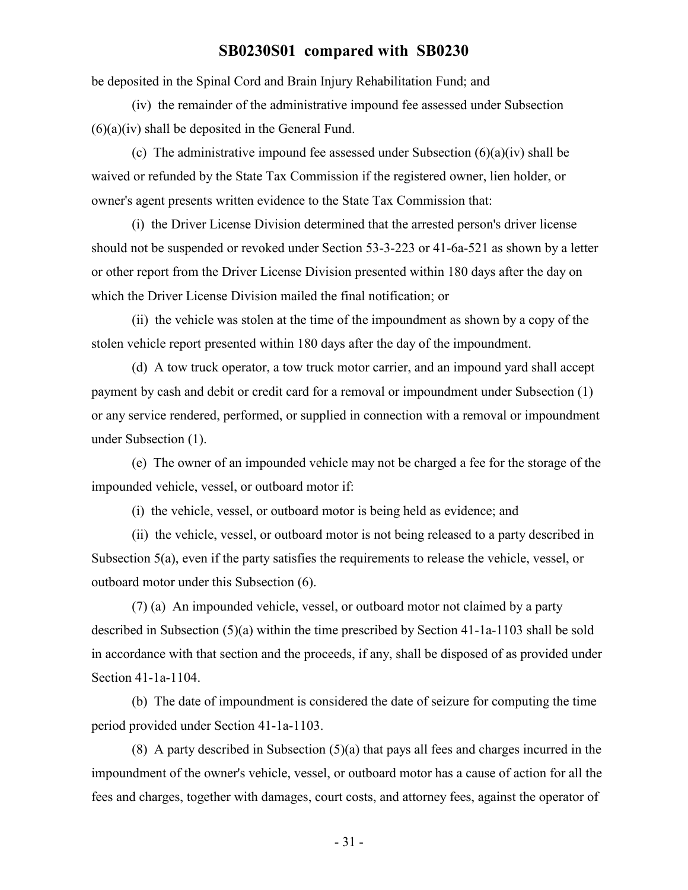be deposited in the Spinal Cord and Brain Injury Rehabilitation Fund; and

(iv) the remainder of the administrative impound fee assessed under Subsection  $(6)(a)(iv)$  shall be deposited in the General Fund.

(c) The administrative impound fee assessed under Subsection  $(6)(a)(iv)$  shall be waived or refunded by the State Tax Commission if the registered owner, lien holder, or owner's agent presents written evidence to the State Tax Commission that:

(i) the Driver License Division determined that the arrested person's driver license should not be suspended or revoked under Section 53-3-223 or 41-6a-521 as shown by a letter or other report from the Driver License Division presented within 180 days after the day on which the Driver License Division mailed the final notification; or

(ii) the vehicle was stolen at the time of the impoundment as shown by a copy of the stolen vehicle report presented within 180 days after the day of the impoundment.

(d) A tow truck operator, a tow truck motor carrier, and an impound yard shall accept payment by cash and debit or credit card for a removal or impoundment under Subsection (1) or any service rendered, performed, or supplied in connection with a removal or impoundment under Subsection (1).

(e) The owner of an impounded vehicle may not be charged a fee for the storage of the impounded vehicle, vessel, or outboard motor if:

(i) the vehicle, vessel, or outboard motor is being held as evidence; and

(ii) the vehicle, vessel, or outboard motor is not being released to a party described in Subsection 5(a), even if the party satisfies the requirements to release the vehicle, vessel, or outboard motor under this Subsection (6).

(7) (a) An impounded vehicle, vessel, or outboard motor not claimed by a party described in Subsection (5)(a) within the time prescribed by Section 41-1a-1103 shall be sold in accordance with that section and the proceeds, if any, shall be disposed of as provided under Section 41-1a-1104.

(b) The date of impoundment is considered the date of seizure for computing the time period provided under Section 41-1a-1103.

(8) A party described in Subsection (5)(a) that pays all fees and charges incurred in the impoundment of the owner's vehicle, vessel, or outboard motor has a cause of action for all the fees and charges, together with damages, court costs, and attorney fees, against the operator of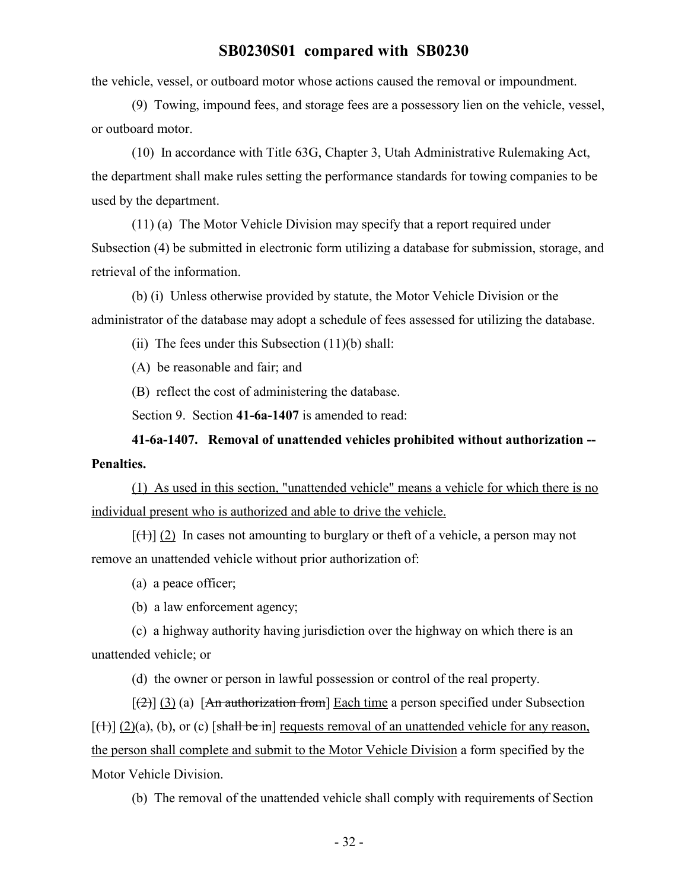the vehicle, vessel, or outboard motor whose actions caused the removal or impoundment.

(9) Towing, impound fees, and storage fees are a possessory lien on the vehicle, vessel, or outboard motor.

(10) In accordance with Title 63G, Chapter 3, Utah Administrative Rulemaking Act, the department shall make rules setting the performance standards for towing companies to be used by the department.

(11) (a) The Motor Vehicle Division may specify that a report required under Subsection (4) be submitted in electronic form utilizing a database for submission, storage, and retrieval of the information.

(b) (i) Unless otherwise provided by statute, the Motor Vehicle Division or the administrator of the database may adopt a schedule of fees assessed for utilizing the database.

(ii) The fees under this Subsection  $(11)(b)$  shall:

(A) be reasonable and fair; and

(B) reflect the cost of administering the database.

Section 9. Section **41-6a-1407** is amended to read:

**41-6a-1407. Removal of unattended vehicles prohibited without authorization -- Penalties.**

(1) As used in this section, "unattended vehicle" means a vehicle for which there is no individual present who is authorized and able to drive the vehicle.

 $[\frac{(1)}{(1)}]$  (2) In cases not amounting to burglary or theft of a vehicle, a person may not remove an unattended vehicle without prior authorization of:

(a) a peace officer;

(b) a law enforcement agency;

(c) a highway authority having jurisdiction over the highway on which there is an unattended vehicle; or

(d) the owner or person in lawful possession or control of the real property.

 $[\frac{2}{2}]$  (3) (a) [An authorization from] Each time a person specified under Subsection  $[\frac{1}{2}](2)(a)$ , (b), or (c) [shall be in] requests removal of an unattended vehicle for any reason, the person shall complete and submit to the Motor Vehicle Division a form specified by the Motor Vehicle Division.

(b) The removal of the unattended vehicle shall comply with requirements of Section